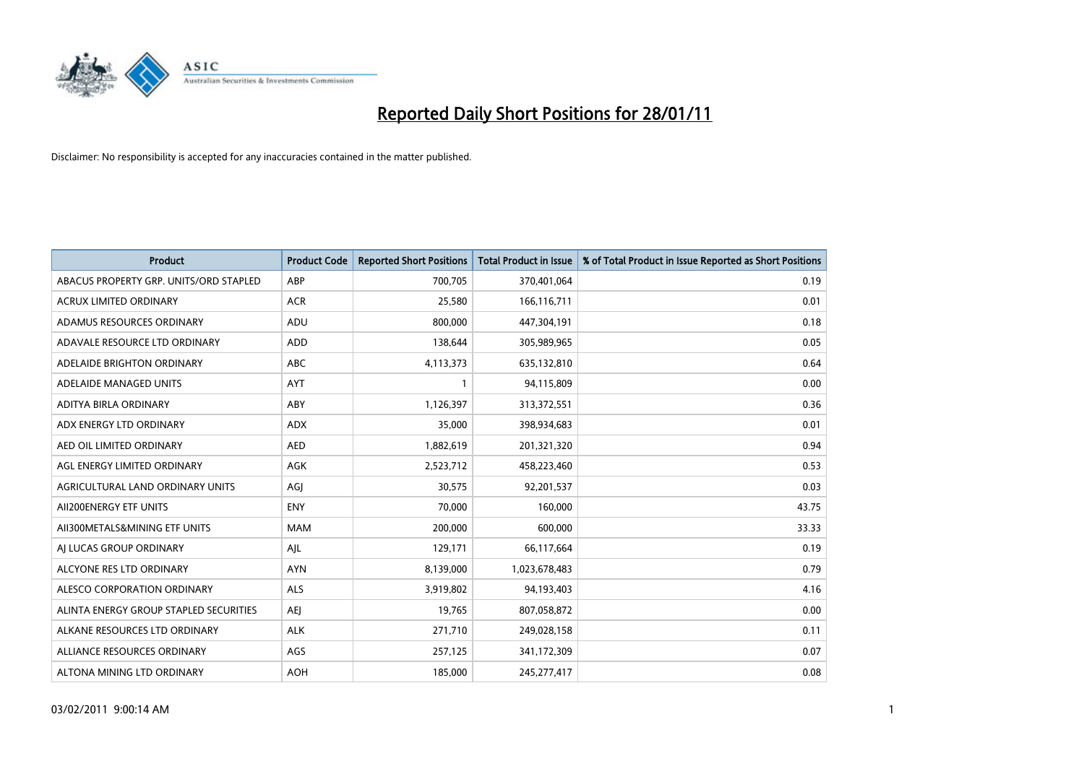

| <b>Product</b>                         | <b>Product Code</b> | <b>Reported Short Positions</b> | <b>Total Product in Issue</b> | % of Total Product in Issue Reported as Short Positions |
|----------------------------------------|---------------------|---------------------------------|-------------------------------|---------------------------------------------------------|
| ABACUS PROPERTY GRP. UNITS/ORD STAPLED | ABP                 | 700,705                         | 370,401,064                   | 0.19                                                    |
| ACRUX LIMITED ORDINARY                 | <b>ACR</b>          | 25,580                          | 166,116,711                   | 0.01                                                    |
| ADAMUS RESOURCES ORDINARY              | ADU                 | 800,000                         | 447,304,191                   | 0.18                                                    |
| ADAVALE RESOURCE LTD ORDINARY          | <b>ADD</b>          | 138,644                         | 305,989,965                   | 0.05                                                    |
| ADELAIDE BRIGHTON ORDINARY             | <b>ABC</b>          | 4,113,373                       | 635,132,810                   | 0.64                                                    |
| ADELAIDE MANAGED UNITS                 | AYT                 |                                 | 94,115,809                    | 0.00                                                    |
| ADITYA BIRLA ORDINARY                  | ABY                 | 1,126,397                       | 313,372,551                   | 0.36                                                    |
| ADX ENERGY LTD ORDINARY                | <b>ADX</b>          | 35,000                          | 398,934,683                   | 0.01                                                    |
| AED OIL LIMITED ORDINARY               | <b>AED</b>          | 1,882,619                       | 201,321,320                   | 0.94                                                    |
| AGL ENERGY LIMITED ORDINARY            | <b>AGK</b>          | 2,523,712                       | 458,223,460                   | 0.53                                                    |
| AGRICULTURAL LAND ORDINARY UNITS       | AGJ                 | 30,575                          | 92,201,537                    | 0.03                                                    |
| AII200ENERGY ETF UNITS                 | <b>ENY</b>          | 70.000                          | 160,000                       | 43.75                                                   |
| AII300METALS&MINING ETF UNITS          | <b>MAM</b>          | 200,000                         | 600,000                       | 33.33                                                   |
| AI LUCAS GROUP ORDINARY                | AJL                 | 129,171                         | 66,117,664                    | 0.19                                                    |
| ALCYONE RES LTD ORDINARY               | <b>AYN</b>          | 8,139,000                       | 1,023,678,483                 | 0.79                                                    |
| ALESCO CORPORATION ORDINARY            | ALS                 | 3,919,802                       | 94,193,403                    | 4.16                                                    |
| ALINTA ENERGY GROUP STAPLED SECURITIES | <b>AEI</b>          | 19,765                          | 807,058,872                   | 0.00                                                    |
| ALKANE RESOURCES LTD ORDINARY          | <b>ALK</b>          | 271,710                         | 249,028,158                   | 0.11                                                    |
| ALLIANCE RESOURCES ORDINARY            | AGS                 | 257,125                         | 341,172,309                   | 0.07                                                    |
| ALTONA MINING LTD ORDINARY             | <b>AOH</b>          | 185,000                         | 245, 277, 417                 | 0.08                                                    |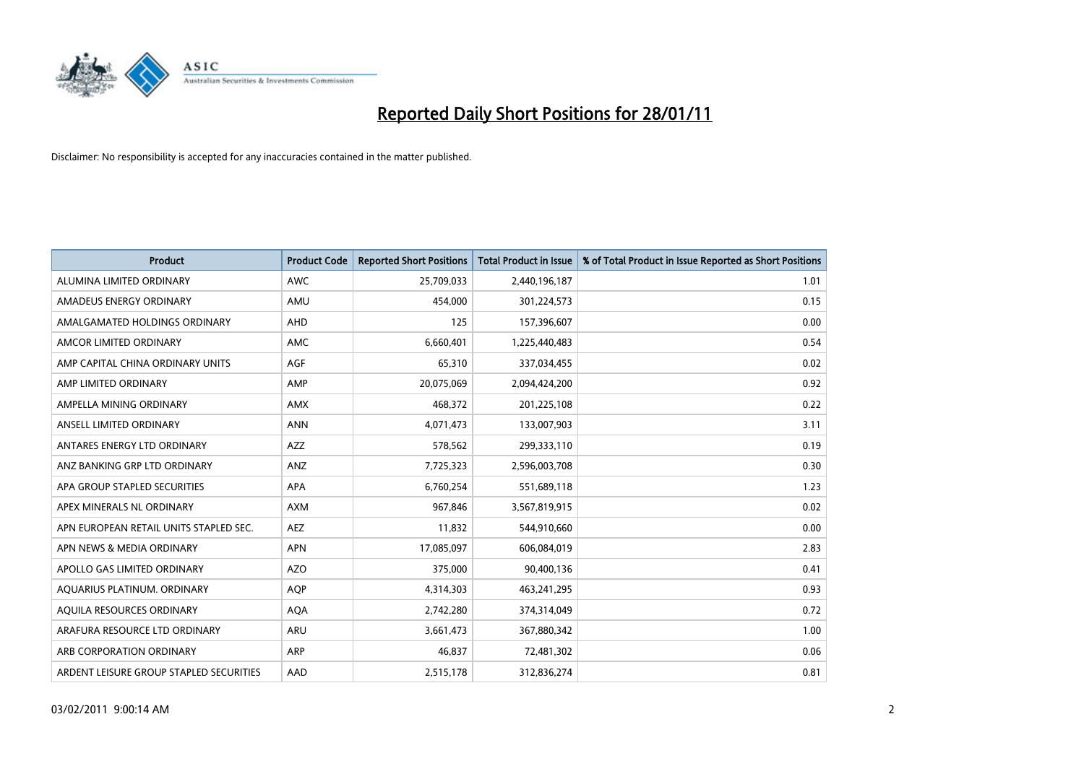

| <b>Product</b>                          | <b>Product Code</b> | <b>Reported Short Positions</b> | <b>Total Product in Issue</b> | % of Total Product in Issue Reported as Short Positions |
|-----------------------------------------|---------------------|---------------------------------|-------------------------------|---------------------------------------------------------|
| ALUMINA LIMITED ORDINARY                | <b>AWC</b>          | 25,709,033                      | 2,440,196,187                 | 1.01                                                    |
| AMADEUS ENERGY ORDINARY                 | AMU                 | 454.000                         | 301,224,573                   | 0.15                                                    |
| AMALGAMATED HOLDINGS ORDINARY           | <b>AHD</b>          | 125                             | 157,396,607                   | 0.00                                                    |
| AMCOR LIMITED ORDINARY                  | <b>AMC</b>          | 6,660,401                       | 1,225,440,483                 | 0.54                                                    |
| AMP CAPITAL CHINA ORDINARY UNITS        | <b>AGF</b>          | 65,310                          | 337,034,455                   | 0.02                                                    |
| AMP LIMITED ORDINARY                    | AMP                 | 20,075,069                      | 2,094,424,200                 | 0.92                                                    |
| AMPELLA MINING ORDINARY                 | <b>AMX</b>          | 468,372                         | 201,225,108                   | 0.22                                                    |
| ANSELL LIMITED ORDINARY                 | <b>ANN</b>          | 4,071,473                       | 133,007,903                   | 3.11                                                    |
| ANTARES ENERGY LTD ORDINARY             | <b>AZZ</b>          | 578,562                         | 299,333,110                   | 0.19                                                    |
| ANZ BANKING GRP LTD ORDINARY            | ANZ                 | 7,725,323                       | 2,596,003,708                 | 0.30                                                    |
| APA GROUP STAPLED SECURITIES            | <b>APA</b>          | 6,760,254                       | 551,689,118                   | 1.23                                                    |
| APEX MINERALS NL ORDINARY               | <b>AXM</b>          | 967,846                         | 3,567,819,915                 | 0.02                                                    |
| APN EUROPEAN RETAIL UNITS STAPLED SEC.  | <b>AEZ</b>          | 11,832                          | 544,910,660                   | 0.00                                                    |
| APN NEWS & MEDIA ORDINARY               | <b>APN</b>          | 17,085,097                      | 606,084,019                   | 2.83                                                    |
| APOLLO GAS LIMITED ORDINARY             | <b>AZO</b>          | 375,000                         | 90,400,136                    | 0.41                                                    |
| AQUARIUS PLATINUM. ORDINARY             | <b>AOP</b>          | 4,314,303                       | 463,241,295                   | 0.93                                                    |
| AQUILA RESOURCES ORDINARY               | <b>AQA</b>          | 2,742,280                       | 374,314,049                   | 0.72                                                    |
| ARAFURA RESOURCE LTD ORDINARY           | ARU                 | 3,661,473                       | 367,880,342                   | 1.00                                                    |
| ARB CORPORATION ORDINARY                | ARP                 | 46,837                          | 72,481,302                    | 0.06                                                    |
| ARDENT LEISURE GROUP STAPLED SECURITIES | AAD                 | 2,515,178                       | 312,836,274                   | 0.81                                                    |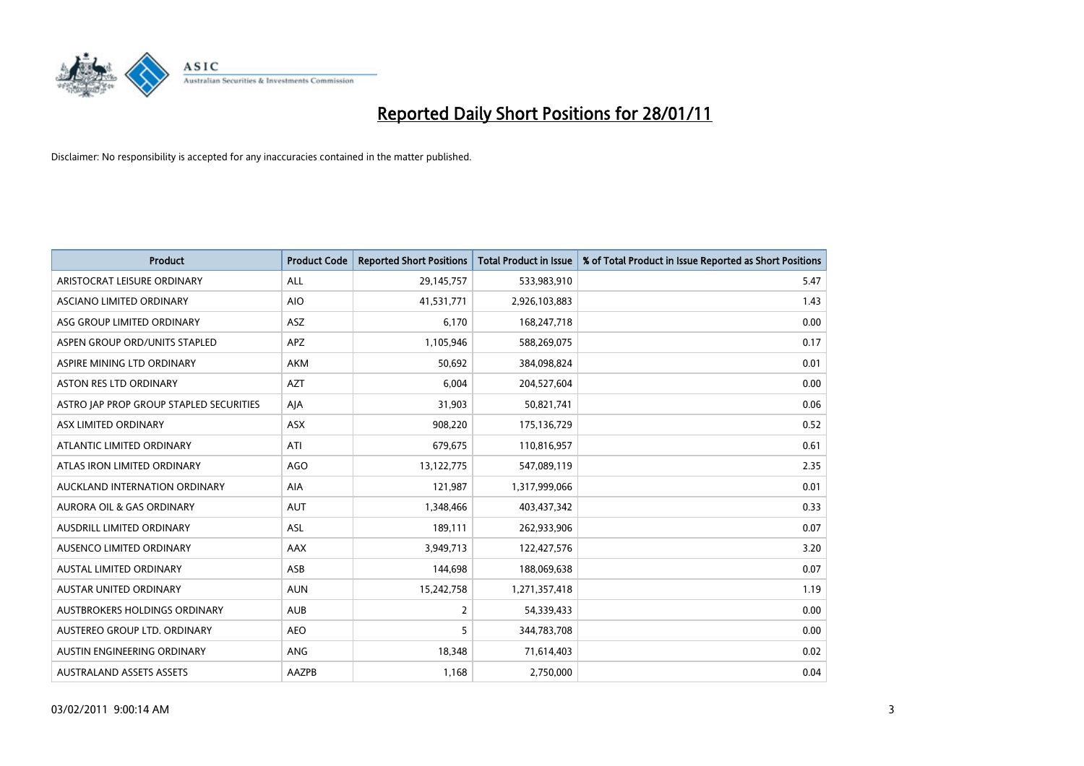

| <b>Product</b>                          | <b>Product Code</b> | <b>Reported Short Positions</b> | Total Product in Issue | % of Total Product in Issue Reported as Short Positions |
|-----------------------------------------|---------------------|---------------------------------|------------------------|---------------------------------------------------------|
| ARISTOCRAT LEISURE ORDINARY             | <b>ALL</b>          | 29,145,757                      | 533,983,910            | 5.47                                                    |
| ASCIANO LIMITED ORDINARY                | <b>AIO</b>          | 41,531,771                      | 2,926,103,883          | 1.43                                                    |
| ASG GROUP LIMITED ORDINARY              | <b>ASZ</b>          | 6,170                           | 168,247,718            | 0.00                                                    |
| ASPEN GROUP ORD/UNITS STAPLED           | <b>APZ</b>          | 1,105,946                       | 588,269,075            | 0.17                                                    |
| ASPIRE MINING LTD ORDINARY              | <b>AKM</b>          | 50,692                          | 384,098,824            | 0.01                                                    |
| ASTON RES LTD ORDINARY                  | <b>AZT</b>          | 6,004                           | 204,527,604            | 0.00                                                    |
| ASTRO JAP PROP GROUP STAPLED SECURITIES | AJA                 | 31,903                          | 50,821,741             | 0.06                                                    |
| ASX LIMITED ORDINARY                    | ASX                 | 908,220                         | 175,136,729            | 0.52                                                    |
| ATLANTIC LIMITED ORDINARY               | ATI                 | 679,675                         | 110,816,957            | 0.61                                                    |
| ATLAS IRON LIMITED ORDINARY             | AGO                 | 13,122,775                      | 547,089,119            | 2.35                                                    |
| AUCKLAND INTERNATION ORDINARY           | AIA                 | 121,987                         | 1,317,999,066          | 0.01                                                    |
| <b>AURORA OIL &amp; GAS ORDINARY</b>    | <b>AUT</b>          | 1,348,466                       | 403,437,342            | 0.33                                                    |
| AUSDRILL LIMITED ORDINARY               | ASL                 | 189,111                         | 262,933,906            | 0.07                                                    |
| AUSENCO LIMITED ORDINARY                | AAX                 | 3,949,713                       | 122,427,576            | 3.20                                                    |
| AUSTAL LIMITED ORDINARY                 | ASB                 | 144,698                         | 188,069,638            | 0.07                                                    |
| <b>AUSTAR UNITED ORDINARY</b>           | <b>AUN</b>          | 15,242,758                      | 1,271,357,418          | 1.19                                                    |
| AUSTBROKERS HOLDINGS ORDINARY           | <b>AUB</b>          | 2                               | 54,339,433             | 0.00                                                    |
| AUSTEREO GROUP LTD. ORDINARY            | <b>AEO</b>          | 5                               | 344,783,708            | 0.00                                                    |
| AUSTIN ENGINEERING ORDINARY             | ANG                 | 18,348                          | 71,614,403             | 0.02                                                    |
| <b>AUSTRALAND ASSETS ASSETS</b>         | AAZPB               | 1,168                           | 2,750,000              | 0.04                                                    |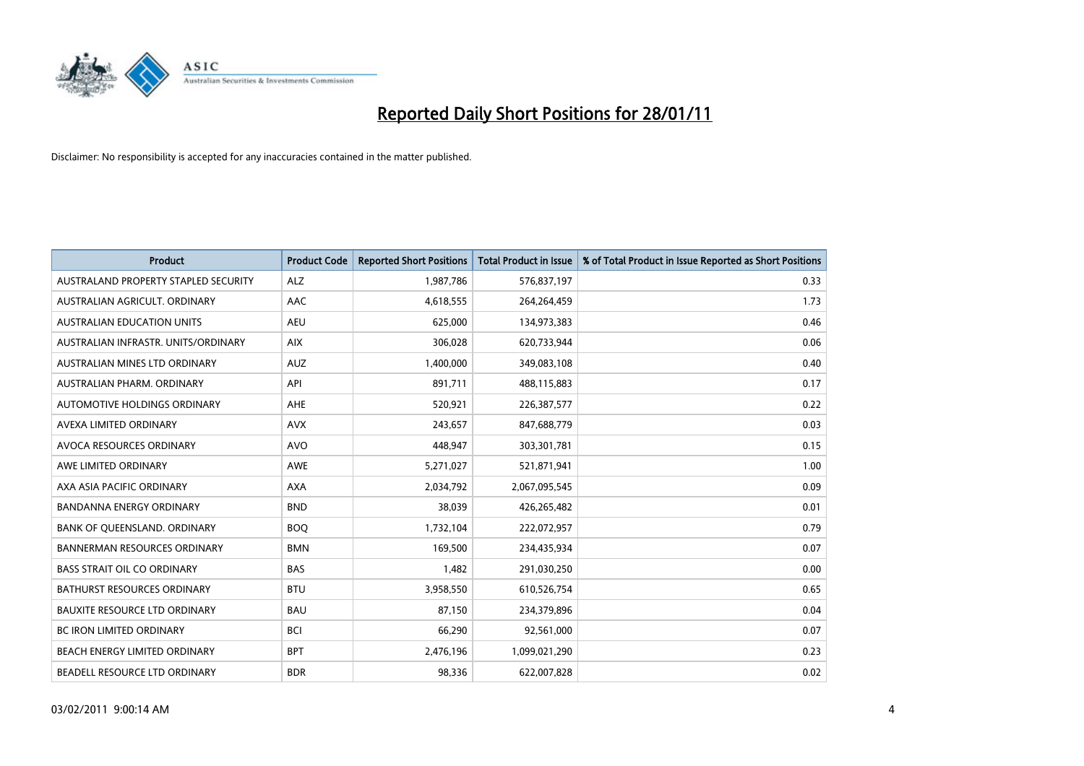

| <b>Product</b>                       | <b>Product Code</b> | <b>Reported Short Positions</b> | Total Product in Issue | % of Total Product in Issue Reported as Short Positions |
|--------------------------------------|---------------------|---------------------------------|------------------------|---------------------------------------------------------|
| AUSTRALAND PROPERTY STAPLED SECURITY | <b>ALZ</b>          | 1,987,786                       | 576,837,197            | 0.33                                                    |
| AUSTRALIAN AGRICULT. ORDINARY        | AAC                 | 4,618,555                       | 264,264,459            | 1.73                                                    |
| <b>AUSTRALIAN EDUCATION UNITS</b>    | <b>AEU</b>          | 625,000                         | 134,973,383            | 0.46                                                    |
| AUSTRALIAN INFRASTR, UNITS/ORDINARY  | <b>AIX</b>          | 306,028                         | 620,733,944            | 0.06                                                    |
| AUSTRALIAN MINES LTD ORDINARY        | <b>AUZ</b>          | 1,400,000                       | 349,083,108            | 0.40                                                    |
| AUSTRALIAN PHARM, ORDINARY           | API                 | 891,711                         | 488,115,883            | 0.17                                                    |
| AUTOMOTIVE HOLDINGS ORDINARY         | <b>AHE</b>          | 520,921                         | 226,387,577            | 0.22                                                    |
| AVEXA LIMITED ORDINARY               | <b>AVX</b>          | 243,657                         | 847,688,779            | 0.03                                                    |
| AVOCA RESOURCES ORDINARY             | <b>AVO</b>          | 448,947                         | 303,301,781            | 0.15                                                    |
| AWE LIMITED ORDINARY                 | <b>AWE</b>          | 5,271,027                       | 521,871,941            | 1.00                                                    |
| AXA ASIA PACIFIC ORDINARY            | <b>AXA</b>          | 2,034,792                       | 2,067,095,545          | 0.09                                                    |
| <b>BANDANNA ENERGY ORDINARY</b>      | <b>BND</b>          | 38,039                          | 426,265,482            | 0.01                                                    |
| BANK OF QUEENSLAND. ORDINARY         | <b>BOO</b>          | 1,732,104                       | 222,072,957            | 0.79                                                    |
| <b>BANNERMAN RESOURCES ORDINARY</b>  | <b>BMN</b>          | 169,500                         | 234,435,934            | 0.07                                                    |
| <b>BASS STRAIT OIL CO ORDINARY</b>   | <b>BAS</b>          | 1,482                           | 291,030,250            | 0.00                                                    |
| <b>BATHURST RESOURCES ORDINARY</b>   | <b>BTU</b>          | 3,958,550                       | 610,526,754            | 0.65                                                    |
| <b>BAUXITE RESOURCE LTD ORDINARY</b> | <b>BAU</b>          | 87,150                          | 234,379,896            | 0.04                                                    |
| BC IRON LIMITED ORDINARY             | <b>BCI</b>          | 66,290                          | 92,561,000             | 0.07                                                    |
| BEACH ENERGY LIMITED ORDINARY        | <b>BPT</b>          | 2,476,196                       | 1,099,021,290          | 0.23                                                    |
| BEADELL RESOURCE LTD ORDINARY        | <b>BDR</b>          | 98,336                          | 622,007,828            | 0.02                                                    |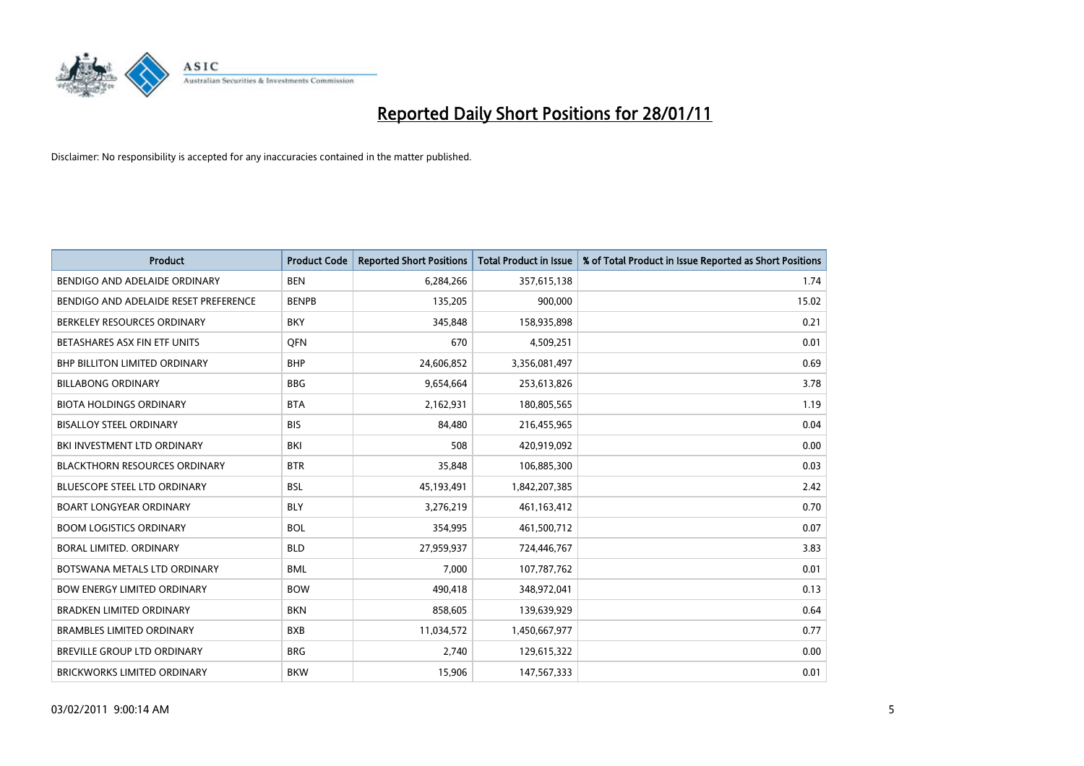

| Product                               | <b>Product Code</b> | <b>Reported Short Positions</b> | <b>Total Product in Issue</b> | % of Total Product in Issue Reported as Short Positions |
|---------------------------------------|---------------------|---------------------------------|-------------------------------|---------------------------------------------------------|
| BENDIGO AND ADELAIDE ORDINARY         | <b>BEN</b>          | 6,284,266                       | 357,615,138                   | 1.74                                                    |
| BENDIGO AND ADELAIDE RESET PREFERENCE | <b>BENPB</b>        | 135,205                         | 900,000                       | 15.02                                                   |
| BERKELEY RESOURCES ORDINARY           | <b>BKY</b>          | 345,848                         | 158,935,898                   | 0.21                                                    |
| BETASHARES ASX FIN ETF UNITS          | <b>OFN</b>          | 670                             | 4,509,251                     | 0.01                                                    |
| <b>BHP BILLITON LIMITED ORDINARY</b>  | <b>BHP</b>          | 24,606,852                      | 3,356,081,497                 | 0.69                                                    |
| <b>BILLABONG ORDINARY</b>             | <b>BBG</b>          | 9,654,664                       | 253,613,826                   | 3.78                                                    |
| <b>BIOTA HOLDINGS ORDINARY</b>        | <b>BTA</b>          | 2,162,931                       | 180,805,565                   | 1.19                                                    |
| <b>BISALLOY STEEL ORDINARY</b>        | <b>BIS</b>          | 84,480                          | 216,455,965                   | 0.04                                                    |
| BKI INVESTMENT LTD ORDINARY           | BKI                 | 508                             | 420,919,092                   | 0.00                                                    |
| <b>BLACKTHORN RESOURCES ORDINARY</b>  | <b>BTR</b>          | 35,848                          | 106,885,300                   | 0.03                                                    |
| <b>BLUESCOPE STEEL LTD ORDINARY</b>   | <b>BSL</b>          | 45,193,491                      | 1,842,207,385                 | 2.42                                                    |
| <b>BOART LONGYEAR ORDINARY</b>        | <b>BLY</b>          | 3,276,219                       | 461,163,412                   | 0.70                                                    |
| <b>BOOM LOGISTICS ORDINARY</b>        | <b>BOL</b>          | 354,995                         | 461,500,712                   | 0.07                                                    |
| BORAL LIMITED, ORDINARY               | <b>BLD</b>          | 27,959,937                      | 724,446,767                   | 3.83                                                    |
| BOTSWANA METALS LTD ORDINARY          | <b>BML</b>          | 7,000                           | 107,787,762                   | 0.01                                                    |
| <b>BOW ENERGY LIMITED ORDINARY</b>    | <b>BOW</b>          | 490,418                         | 348,972,041                   | 0.13                                                    |
| <b>BRADKEN LIMITED ORDINARY</b>       | <b>BKN</b>          | 858,605                         | 139,639,929                   | 0.64                                                    |
| <b>BRAMBLES LIMITED ORDINARY</b>      | <b>BXB</b>          | 11,034,572                      | 1,450,667,977                 | 0.77                                                    |
| BREVILLE GROUP LTD ORDINARY           | <b>BRG</b>          | 2,740                           | 129,615,322                   | 0.00                                                    |
| BRICKWORKS LIMITED ORDINARY           | <b>BKW</b>          | 15,906                          | 147,567,333                   | 0.01                                                    |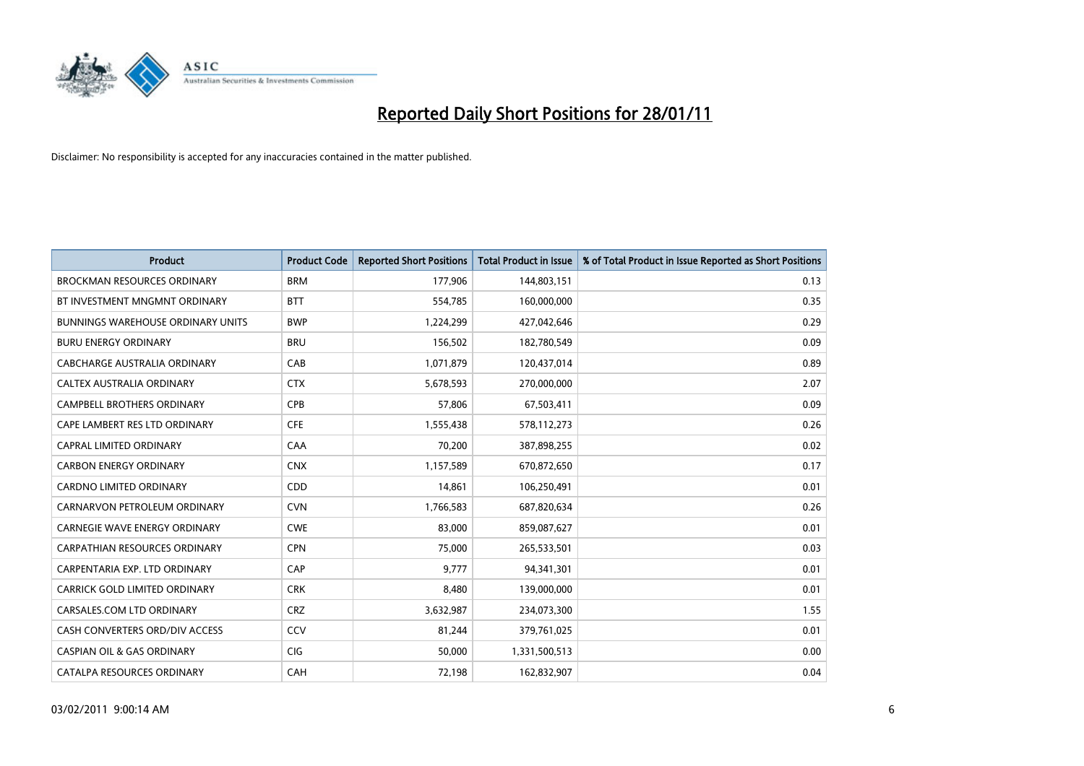

| Product                                  | <b>Product Code</b> | <b>Reported Short Positions</b> | <b>Total Product in Issue</b> | % of Total Product in Issue Reported as Short Positions |
|------------------------------------------|---------------------|---------------------------------|-------------------------------|---------------------------------------------------------|
| <b>BROCKMAN RESOURCES ORDINARY</b>       | <b>BRM</b>          | 177,906                         | 144,803,151                   | 0.13                                                    |
| BT INVESTMENT MNGMNT ORDINARY            | <b>BTT</b>          | 554,785                         | 160,000,000                   | 0.35                                                    |
| <b>BUNNINGS WAREHOUSE ORDINARY UNITS</b> | <b>BWP</b>          | 1,224,299                       | 427,042,646                   | 0.29                                                    |
| <b>BURU ENERGY ORDINARY</b>              | <b>BRU</b>          | 156,502                         | 182,780,549                   | 0.09                                                    |
| CABCHARGE AUSTRALIA ORDINARY             | CAB                 | 1,071,879                       | 120,437,014                   | 0.89                                                    |
| CALTEX AUSTRALIA ORDINARY                | <b>CTX</b>          | 5,678,593                       | 270,000,000                   | 2.07                                                    |
| <b>CAMPBELL BROTHERS ORDINARY</b>        | <b>CPB</b>          | 57,806                          | 67,503,411                    | 0.09                                                    |
| CAPE LAMBERT RES LTD ORDINARY            | <b>CFE</b>          | 1,555,438                       | 578,112,273                   | 0.26                                                    |
| <b>CAPRAL LIMITED ORDINARY</b>           | CAA                 | 70,200                          | 387,898,255                   | 0.02                                                    |
| <b>CARBON ENERGY ORDINARY</b>            | <b>CNX</b>          | 1,157,589                       | 670,872,650                   | 0.17                                                    |
| <b>CARDNO LIMITED ORDINARY</b>           | CDD                 | 14,861                          | 106,250,491                   | 0.01                                                    |
| CARNARVON PETROLEUM ORDINARY             | <b>CVN</b>          | 1,766,583                       | 687,820,634                   | 0.26                                                    |
| <b>CARNEGIE WAVE ENERGY ORDINARY</b>     | <b>CWE</b>          | 83,000                          | 859,087,627                   | 0.01                                                    |
| <b>CARPATHIAN RESOURCES ORDINARY</b>     | <b>CPN</b>          | 75,000                          | 265,533,501                   | 0.03                                                    |
| CARPENTARIA EXP. LTD ORDINARY            | CAP                 | 9,777                           | 94,341,301                    | 0.01                                                    |
| CARRICK GOLD LIMITED ORDINARY            | <b>CRK</b>          | 8,480                           | 139,000,000                   | 0.01                                                    |
| CARSALES.COM LTD ORDINARY                | <b>CRZ</b>          | 3,632,987                       | 234,073,300                   | 1.55                                                    |
| CASH CONVERTERS ORD/DIV ACCESS           | CCV                 | 81,244                          | 379,761,025                   | 0.01                                                    |
| <b>CASPIAN OIL &amp; GAS ORDINARY</b>    | <b>CIG</b>          | 50,000                          | 1,331,500,513                 | 0.00                                                    |
| CATALPA RESOURCES ORDINARY               | CAH                 | 72,198                          | 162,832,907                   | 0.04                                                    |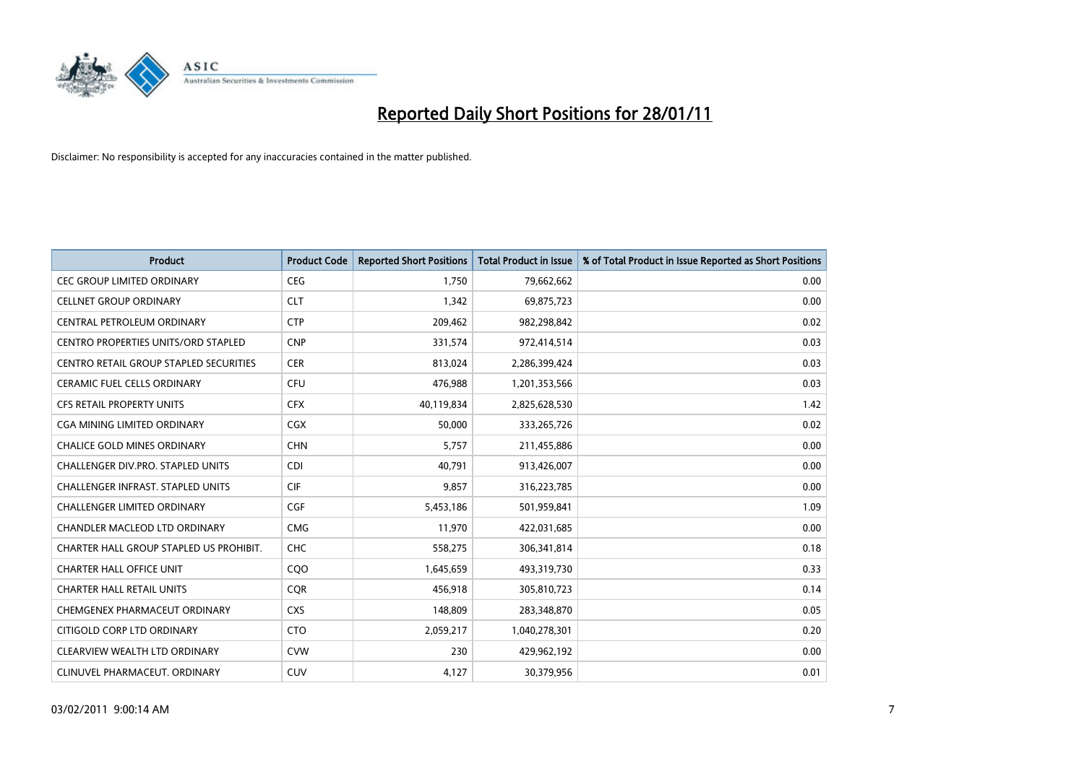

| <b>Product</b>                             | <b>Product Code</b> | <b>Reported Short Positions</b> | <b>Total Product in Issue</b> | % of Total Product in Issue Reported as Short Positions |
|--------------------------------------------|---------------------|---------------------------------|-------------------------------|---------------------------------------------------------|
| <b>CEC GROUP LIMITED ORDINARY</b>          | <b>CEG</b>          | 1,750                           | 79,662,662                    | 0.00                                                    |
| <b>CELLNET GROUP ORDINARY</b>              | <b>CLT</b>          | 1,342                           | 69,875,723                    | 0.00                                                    |
| CENTRAL PETROLEUM ORDINARY                 | <b>CTP</b>          | 209,462                         | 982,298,842                   | 0.02                                                    |
| <b>CENTRO PROPERTIES UNITS/ORD STAPLED</b> | <b>CNP</b>          | 331,574                         | 972,414,514                   | 0.03                                                    |
| CENTRO RETAIL GROUP STAPLED SECURITIES     | <b>CER</b>          | 813,024                         | 2,286,399,424                 | 0.03                                                    |
| <b>CERAMIC FUEL CELLS ORDINARY</b>         | <b>CFU</b>          | 476,988                         | 1,201,353,566                 | 0.03                                                    |
| <b>CFS RETAIL PROPERTY UNITS</b>           | <b>CFX</b>          | 40,119,834                      | 2,825,628,530                 | 1.42                                                    |
| CGA MINING LIMITED ORDINARY                | <b>CGX</b>          | 50,000                          | 333,265,726                   | 0.02                                                    |
| CHALICE GOLD MINES ORDINARY                | <b>CHN</b>          | 5,757                           | 211,455,886                   | 0.00                                                    |
| CHALLENGER DIV.PRO. STAPLED UNITS          | <b>CDI</b>          | 40.791                          | 913,426,007                   | 0.00                                                    |
| CHALLENGER INFRAST. STAPLED UNITS          | <b>CIF</b>          | 9,857                           | 316,223,785                   | 0.00                                                    |
| <b>CHALLENGER LIMITED ORDINARY</b>         | <b>CGF</b>          | 5,453,186                       | 501,959,841                   | 1.09                                                    |
| <b>CHANDLER MACLEOD LTD ORDINARY</b>       | <b>CMG</b>          | 11,970                          | 422,031,685                   | 0.00                                                    |
| CHARTER HALL GROUP STAPLED US PROHIBIT.    | <b>CHC</b>          | 558,275                         | 306,341,814                   | 0.18                                                    |
| <b>CHARTER HALL OFFICE UNIT</b>            | COO                 | 1,645,659                       | 493,319,730                   | 0.33                                                    |
| CHARTER HALL RETAIL UNITS                  | <b>COR</b>          | 456,918                         | 305,810,723                   | 0.14                                                    |
| CHEMGENEX PHARMACEUT ORDINARY              | <b>CXS</b>          | 148,809                         | 283,348,870                   | 0.05                                                    |
| CITIGOLD CORP LTD ORDINARY                 | <b>CTO</b>          | 2,059,217                       | 1,040,278,301                 | 0.20                                                    |
| CLEARVIEW WEALTH LTD ORDINARY              | <b>CVW</b>          | 230                             | 429,962,192                   | 0.00                                                    |
| CLINUVEL PHARMACEUT, ORDINARY              | <b>CUV</b>          | 4,127                           | 30,379,956                    | 0.01                                                    |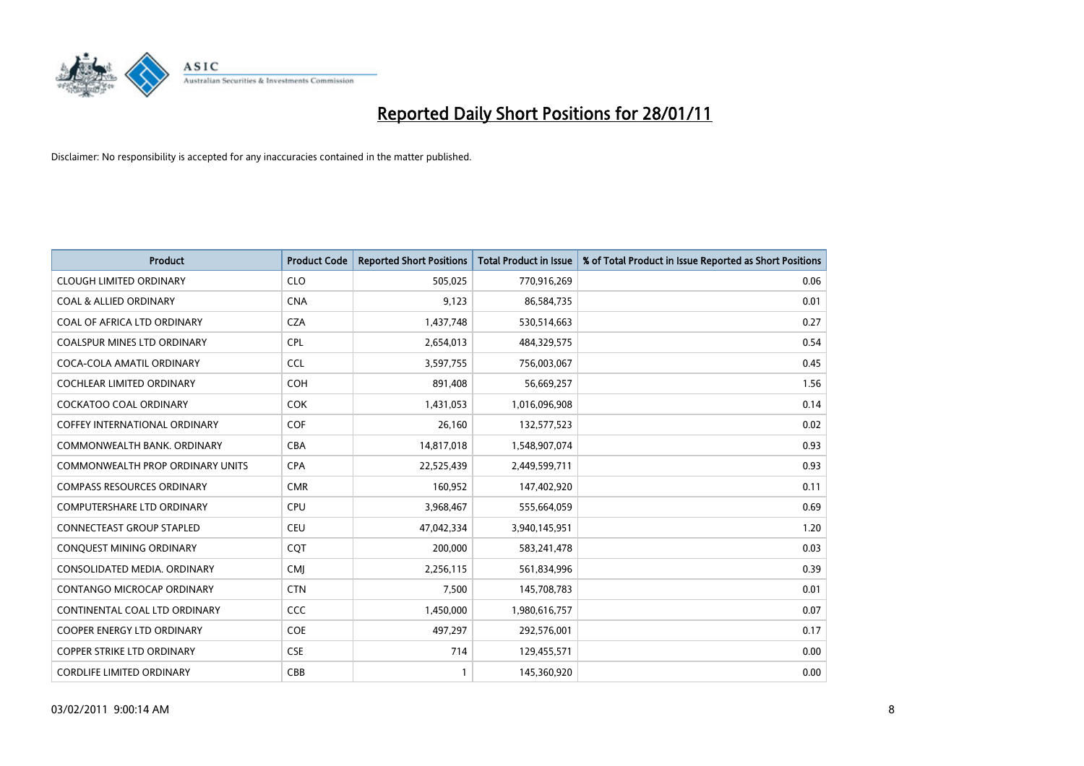

| Product                                 | <b>Product Code</b> | <b>Reported Short Positions</b> | <b>Total Product in Issue</b> | % of Total Product in Issue Reported as Short Positions |
|-----------------------------------------|---------------------|---------------------------------|-------------------------------|---------------------------------------------------------|
| <b>CLOUGH LIMITED ORDINARY</b>          | <b>CLO</b>          | 505,025                         | 770,916,269                   | 0.06                                                    |
| <b>COAL &amp; ALLIED ORDINARY</b>       | <b>CNA</b>          | 9,123                           | 86,584,735                    | 0.01                                                    |
| COAL OF AFRICA LTD ORDINARY             | <b>CZA</b>          | 1,437,748                       | 530,514,663                   | 0.27                                                    |
| COALSPUR MINES LTD ORDINARY             | <b>CPL</b>          | 2,654,013                       | 484,329,575                   | 0.54                                                    |
| COCA-COLA AMATIL ORDINARY               | <b>CCL</b>          | 3,597,755                       | 756,003,067                   | 0.45                                                    |
| <b>COCHLEAR LIMITED ORDINARY</b>        | <b>COH</b>          | 891,408                         | 56,669,257                    | 1.56                                                    |
| <b>COCKATOO COAL ORDINARY</b>           | <b>COK</b>          | 1,431,053                       | 1,016,096,908                 | 0.14                                                    |
| <b>COFFEY INTERNATIONAL ORDINARY</b>    | <b>COF</b>          | 26,160                          | 132,577,523                   | 0.02                                                    |
| COMMONWEALTH BANK, ORDINARY             | <b>CBA</b>          | 14,817,018                      | 1,548,907,074                 | 0.93                                                    |
| <b>COMMONWEALTH PROP ORDINARY UNITS</b> | <b>CPA</b>          | 22,525,439                      | 2,449,599,711                 | 0.93                                                    |
| <b>COMPASS RESOURCES ORDINARY</b>       | <b>CMR</b>          | 160,952                         | 147,402,920                   | 0.11                                                    |
| COMPUTERSHARE LTD ORDINARY              | <b>CPU</b>          | 3,968,467                       | 555,664,059                   | 0.69                                                    |
| <b>CONNECTEAST GROUP STAPLED</b>        | <b>CEU</b>          | 47,042,334                      | 3,940,145,951                 | 1.20                                                    |
| CONQUEST MINING ORDINARY                | <b>COT</b>          | 200.000                         | 583,241,478                   | 0.03                                                    |
| CONSOLIDATED MEDIA, ORDINARY            | <b>CMI</b>          | 2,256,115                       | 561,834,996                   | 0.39                                                    |
| CONTANGO MICROCAP ORDINARY              | <b>CTN</b>          | 7,500                           | 145,708,783                   | 0.01                                                    |
| CONTINENTAL COAL LTD ORDINARY           | CCC                 | 1,450,000                       | 1,980,616,757                 | 0.07                                                    |
| COOPER ENERGY LTD ORDINARY              | <b>COE</b>          | 497,297                         | 292,576,001                   | 0.17                                                    |
| <b>COPPER STRIKE LTD ORDINARY</b>       | <b>CSE</b>          | 714                             | 129,455,571                   | 0.00                                                    |
| <b>CORDLIFE LIMITED ORDINARY</b>        | CBB                 |                                 | 145,360,920                   | 0.00                                                    |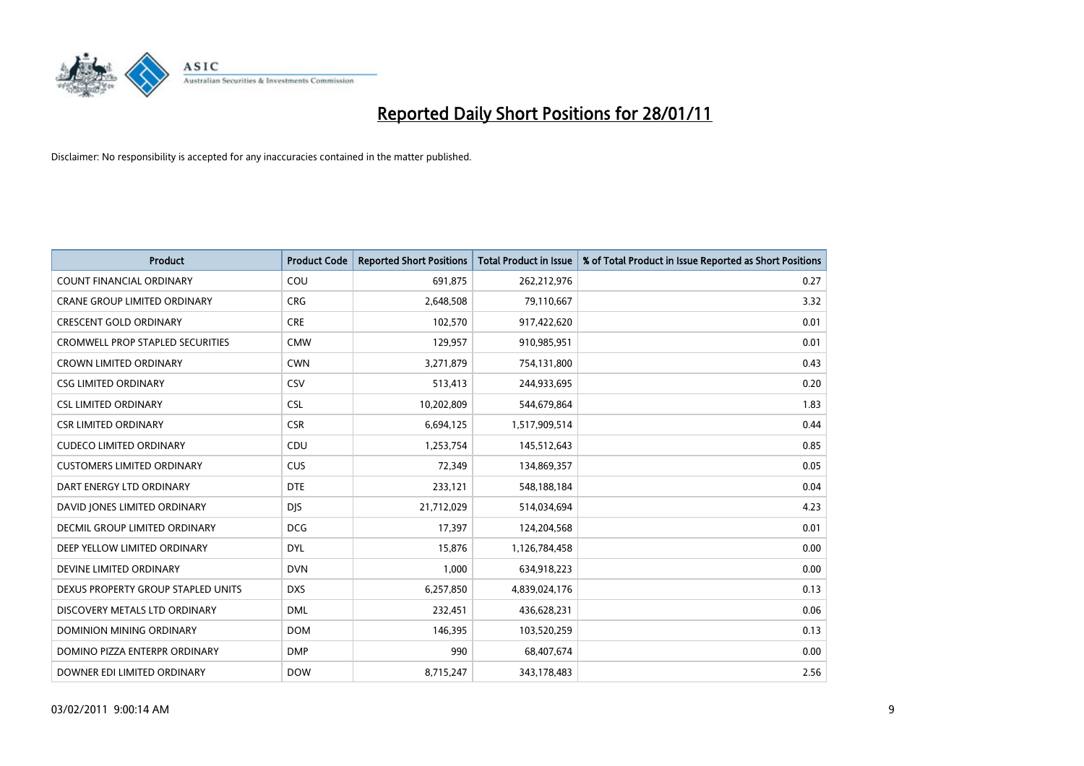

| <b>Product</b>                          | <b>Product Code</b> | <b>Reported Short Positions</b> | Total Product in Issue | % of Total Product in Issue Reported as Short Positions |
|-----------------------------------------|---------------------|---------------------------------|------------------------|---------------------------------------------------------|
| <b>COUNT FINANCIAL ORDINARY</b>         | COU                 | 691,875                         | 262,212,976            | 0.27                                                    |
| CRANE GROUP LIMITED ORDINARY            | <b>CRG</b>          | 2,648,508                       | 79,110,667             | 3.32                                                    |
| <b>CRESCENT GOLD ORDINARY</b>           | <b>CRE</b>          | 102,570                         | 917,422,620            | 0.01                                                    |
| <b>CROMWELL PROP STAPLED SECURITIES</b> | <b>CMW</b>          | 129,957                         | 910,985,951            | 0.01                                                    |
| <b>CROWN LIMITED ORDINARY</b>           | <b>CWN</b>          | 3,271,879                       | 754,131,800            | 0.43                                                    |
| <b>CSG LIMITED ORDINARY</b>             | <b>CSV</b>          | 513,413                         | 244,933,695            | 0.20                                                    |
| <b>CSL LIMITED ORDINARY</b>             | <b>CSL</b>          | 10,202,809                      | 544,679,864            | 1.83                                                    |
| <b>CSR LIMITED ORDINARY</b>             | <b>CSR</b>          | 6,694,125                       | 1,517,909,514          | 0.44                                                    |
| <b>CUDECO LIMITED ORDINARY</b>          | CDU                 | 1,253,754                       | 145,512,643            | 0.85                                                    |
| <b>CUSTOMERS LIMITED ORDINARY</b>       | <b>CUS</b>          | 72,349                          | 134,869,357            | 0.05                                                    |
| DART ENERGY LTD ORDINARY                | <b>DTE</b>          | 233,121                         | 548,188,184            | 0.04                                                    |
| DAVID JONES LIMITED ORDINARY            | <b>DIS</b>          | 21,712,029                      | 514,034,694            | 4.23                                                    |
| <b>DECMIL GROUP LIMITED ORDINARY</b>    | <b>DCG</b>          | 17,397                          | 124,204,568            | 0.01                                                    |
| DEEP YELLOW LIMITED ORDINARY            | <b>DYL</b>          | 15,876                          | 1,126,784,458          | 0.00                                                    |
| DEVINE LIMITED ORDINARY                 | <b>DVN</b>          | 1,000                           | 634,918,223            | 0.00                                                    |
| DEXUS PROPERTY GROUP STAPLED UNITS      | <b>DXS</b>          | 6,257,850                       | 4,839,024,176          | 0.13                                                    |
| DISCOVERY METALS LTD ORDINARY           | <b>DML</b>          | 232,451                         | 436,628,231            | 0.06                                                    |
| DOMINION MINING ORDINARY                | <b>DOM</b>          | 146,395                         | 103,520,259            | 0.13                                                    |
| DOMINO PIZZA ENTERPR ORDINARY           | <b>DMP</b>          | 990                             | 68,407,674             | 0.00                                                    |
| DOWNER EDI LIMITED ORDINARY             | <b>DOW</b>          | 8,715,247                       | 343,178,483            | 2.56                                                    |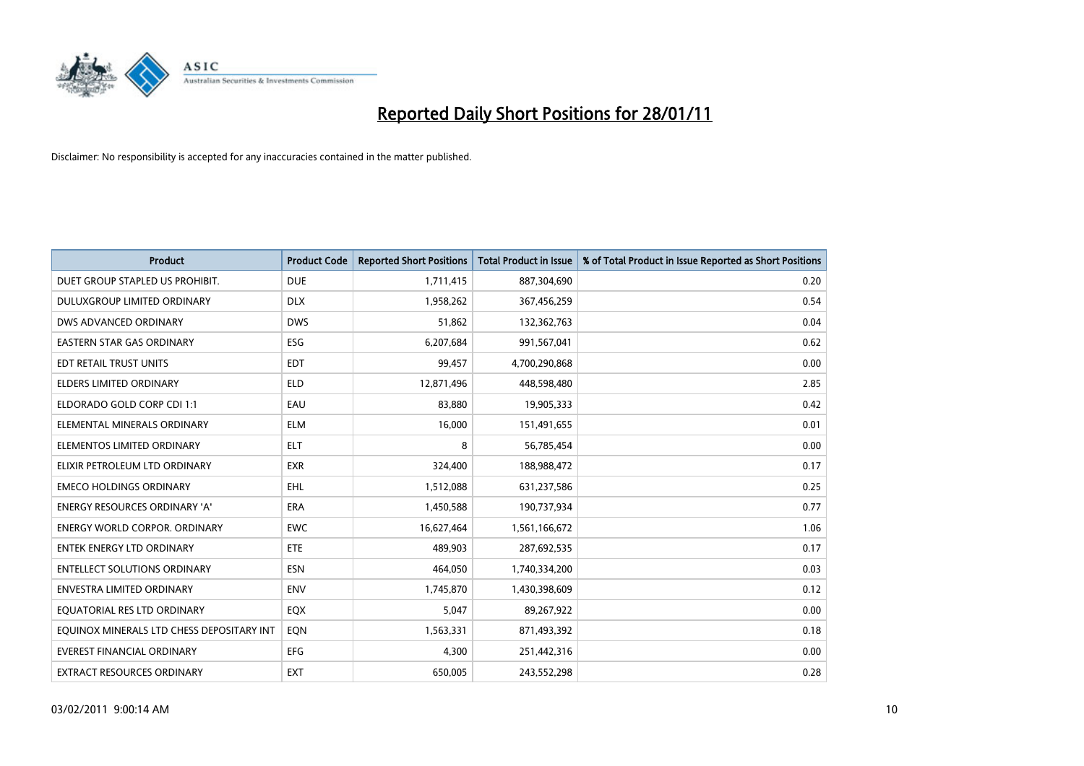

| <b>Product</b>                            | <b>Product Code</b> | <b>Reported Short Positions</b> | Total Product in Issue | % of Total Product in Issue Reported as Short Positions |
|-------------------------------------------|---------------------|---------------------------------|------------------------|---------------------------------------------------------|
| DUET GROUP STAPLED US PROHIBIT.           | <b>DUE</b>          | 1,711,415                       | 887,304,690            | 0.20                                                    |
| DULUXGROUP LIMITED ORDINARY               | <b>DLX</b>          | 1,958,262                       | 367,456,259            | 0.54                                                    |
| DWS ADVANCED ORDINARY                     | <b>DWS</b>          | 51,862                          | 132,362,763            | 0.04                                                    |
| EASTERN STAR GAS ORDINARY                 | ESG                 | 6,207,684                       | 991,567,041            | 0.62                                                    |
| EDT RETAIL TRUST UNITS                    | EDT                 | 99,457                          | 4,700,290,868          | 0.00                                                    |
| <b>ELDERS LIMITED ORDINARY</b>            | <b>ELD</b>          | 12,871,496                      | 448,598,480            | 2.85                                                    |
| ELDORADO GOLD CORP CDI 1:1                | EAU                 | 83.880                          | 19,905,333             | 0.42                                                    |
| ELEMENTAL MINERALS ORDINARY               | <b>ELM</b>          | 16,000                          | 151,491,655            | 0.01                                                    |
| ELEMENTOS LIMITED ORDINARY                | <b>ELT</b>          | 8                               | 56,785,454             | 0.00                                                    |
| ELIXIR PETROLEUM LTD ORDINARY             | <b>EXR</b>          | 324,400                         | 188,988,472            | 0.17                                                    |
| <b>EMECO HOLDINGS ORDINARY</b>            | <b>EHL</b>          | 1,512,088                       | 631,237,586            | 0.25                                                    |
| <b>ENERGY RESOURCES ORDINARY 'A'</b>      | ERA                 | 1,450,588                       | 190,737,934            | 0.77                                                    |
| <b>ENERGY WORLD CORPOR, ORDINARY</b>      | <b>EWC</b>          | 16,627,464                      | 1,561,166,672          | 1.06                                                    |
| <b>ENTEK ENERGY LTD ORDINARY</b>          | <b>ETE</b>          | 489.903                         | 287,692,535            | 0.17                                                    |
| <b>ENTELLECT SOLUTIONS ORDINARY</b>       | <b>ESN</b>          | 464,050                         | 1,740,334,200          | 0.03                                                    |
| <b>ENVESTRA LIMITED ORDINARY</b>          | <b>ENV</b>          | 1,745,870                       | 1,430,398,609          | 0.12                                                    |
| EQUATORIAL RES LTD ORDINARY               | EQX                 | 5,047                           | 89,267,922             | 0.00                                                    |
| EQUINOX MINERALS LTD CHESS DEPOSITARY INT | EON                 | 1,563,331                       | 871,493,392            | 0.18                                                    |
| <b>EVEREST FINANCIAL ORDINARY</b>         | <b>EFG</b>          | 4,300                           | 251,442,316            | 0.00                                                    |
| <b>EXTRACT RESOURCES ORDINARY</b>         | <b>EXT</b>          | 650.005                         | 243,552,298            | 0.28                                                    |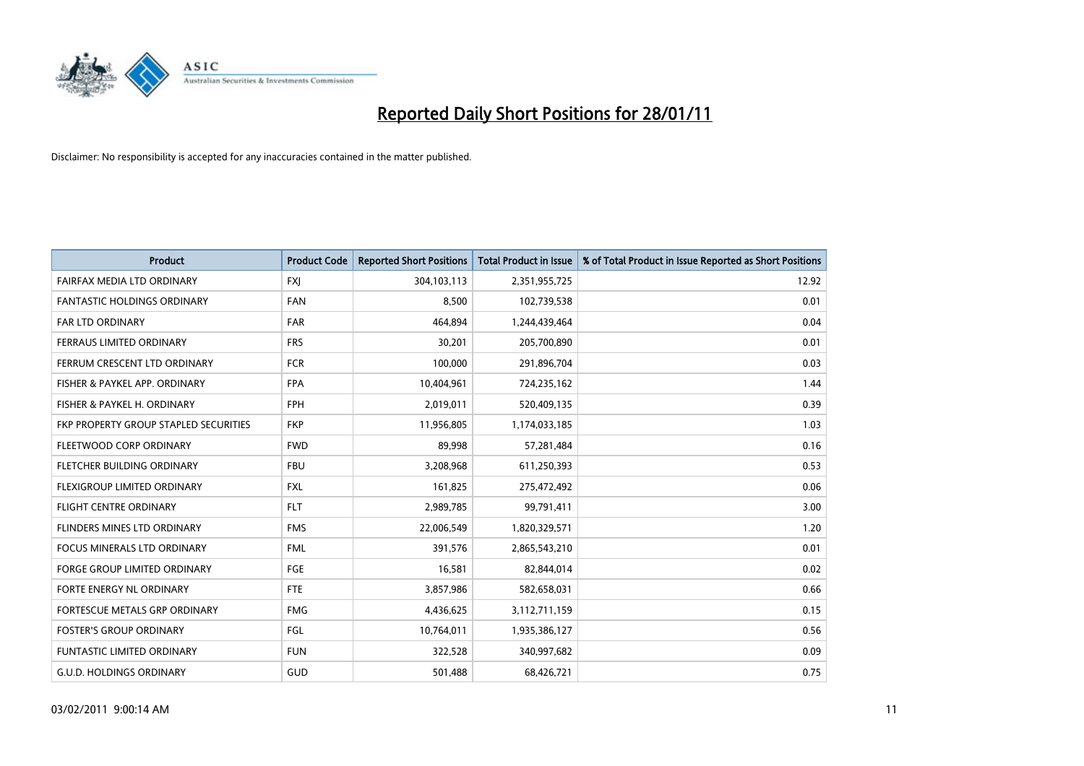

| <b>Product</b>                        | <b>Product Code</b> | <b>Reported Short Positions</b> | Total Product in Issue | % of Total Product in Issue Reported as Short Positions |
|---------------------------------------|---------------------|---------------------------------|------------------------|---------------------------------------------------------|
| <b>FAIRFAX MEDIA LTD ORDINARY</b>     | <b>FXJ</b>          | 304,103,113                     | 2,351,955,725          | 12.92                                                   |
| FANTASTIC HOLDINGS ORDINARY           | <b>FAN</b>          | 8,500                           | 102,739,538            | 0.01                                                    |
| <b>FAR LTD ORDINARY</b>               | <b>FAR</b>          | 464,894                         | 1,244,439,464          | 0.04                                                    |
| FERRAUS LIMITED ORDINARY              | <b>FRS</b>          | 30,201                          | 205,700,890            | 0.01                                                    |
| FERRUM CRESCENT LTD ORDINARY          | <b>FCR</b>          | 100,000                         | 291,896,704            | 0.03                                                    |
| FISHER & PAYKEL APP. ORDINARY         | <b>FPA</b>          | 10,404,961                      | 724,235,162            | 1.44                                                    |
| FISHER & PAYKEL H. ORDINARY           | <b>FPH</b>          | 2,019,011                       | 520,409,135            | 0.39                                                    |
| FKP PROPERTY GROUP STAPLED SECURITIES | <b>FKP</b>          | 11,956,805                      | 1,174,033,185          | 1.03                                                    |
| FLEETWOOD CORP ORDINARY               | <b>FWD</b>          | 89,998                          | 57,281,484             | 0.16                                                    |
| FLETCHER BUILDING ORDINARY            | <b>FBU</b>          | 3,208,968                       | 611,250,393            | 0.53                                                    |
| FLEXIGROUP LIMITED ORDINARY           | <b>FXL</b>          | 161,825                         | 275,472,492            | 0.06                                                    |
| <b>FLIGHT CENTRE ORDINARY</b>         | <b>FLT</b>          | 2,989,785                       | 99,791,411             | 3.00                                                    |
| FLINDERS MINES LTD ORDINARY           | <b>FMS</b>          | 22,006,549                      | 1,820,329,571          | 1.20                                                    |
| <b>FOCUS MINERALS LTD ORDINARY</b>    | <b>FML</b>          | 391,576                         | 2,865,543,210          | 0.01                                                    |
| <b>FORGE GROUP LIMITED ORDINARY</b>   | FGE                 | 16,581                          | 82,844,014             | 0.02                                                    |
| FORTE ENERGY NL ORDINARY              | FTE                 | 3,857,986                       | 582,658,031            | 0.66                                                    |
| FORTESCUE METALS GRP ORDINARY         | <b>FMG</b>          | 4,436,625                       | 3,112,711,159          | 0.15                                                    |
| <b>FOSTER'S GROUP ORDINARY</b>        | FGL                 | 10,764,011                      | 1,935,386,127          | 0.56                                                    |
| <b>FUNTASTIC LIMITED ORDINARY</b>     | <b>FUN</b>          | 322,528                         | 340,997,682            | 0.09                                                    |
| G.U.D. HOLDINGS ORDINARY              | GUD                 | 501,488                         | 68,426,721             | 0.75                                                    |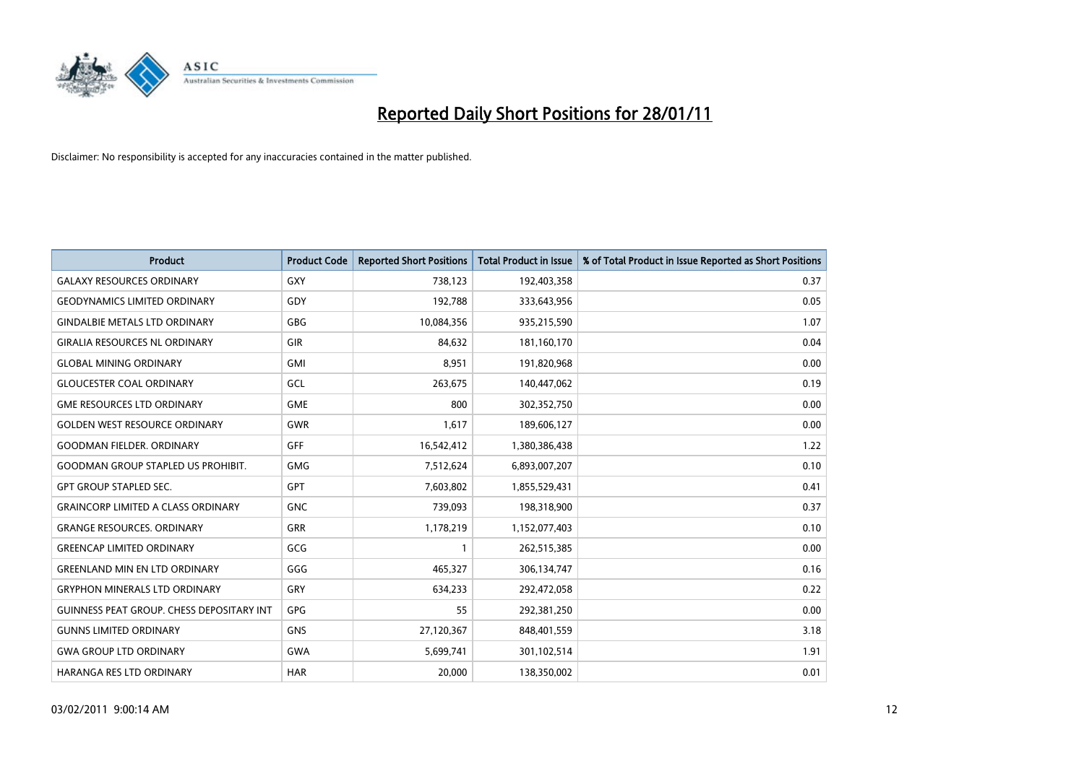

| <b>Product</b>                                   | <b>Product Code</b> | <b>Reported Short Positions</b> | <b>Total Product in Issue</b> | % of Total Product in Issue Reported as Short Positions |
|--------------------------------------------------|---------------------|---------------------------------|-------------------------------|---------------------------------------------------------|
| <b>GALAXY RESOURCES ORDINARY</b>                 | GXY                 | 738,123                         | 192,403,358                   | 0.37                                                    |
| <b>GEODYNAMICS LIMITED ORDINARY</b>              | GDY                 | 192,788                         | 333,643,956                   | 0.05                                                    |
| <b>GINDALBIE METALS LTD ORDINARY</b>             | <b>GBG</b>          | 10,084,356                      | 935,215,590                   | 1.07                                                    |
| <b>GIRALIA RESOURCES NL ORDINARY</b>             | GIR                 | 84,632                          | 181,160,170                   | 0.04                                                    |
| <b>GLOBAL MINING ORDINARY</b>                    | <b>GMI</b>          | 8,951                           | 191,820,968                   | 0.00                                                    |
| <b>GLOUCESTER COAL ORDINARY</b>                  | <b>GCL</b>          | 263,675                         | 140,447,062                   | 0.19                                                    |
| <b>GME RESOURCES LTD ORDINARY</b>                | <b>GME</b>          | 800                             | 302,352,750                   | 0.00                                                    |
| <b>GOLDEN WEST RESOURCE ORDINARY</b>             | <b>GWR</b>          | 1,617                           | 189,606,127                   | 0.00                                                    |
| <b>GOODMAN FIELDER. ORDINARY</b>                 | <b>GFF</b>          | 16,542,412                      | 1,380,386,438                 | 1.22                                                    |
| <b>GOODMAN GROUP STAPLED US PROHIBIT.</b>        | GMG                 | 7,512,624                       | 6,893,007,207                 | 0.10                                                    |
| <b>GPT GROUP STAPLED SEC.</b>                    | <b>GPT</b>          | 7,603,802                       | 1,855,529,431                 | 0.41                                                    |
| <b>GRAINCORP LIMITED A CLASS ORDINARY</b>        | <b>GNC</b>          | 739,093                         | 198,318,900                   | 0.37                                                    |
| <b>GRANGE RESOURCES, ORDINARY</b>                | <b>GRR</b>          | 1,178,219                       | 1,152,077,403                 | 0.10                                                    |
| <b>GREENCAP LIMITED ORDINARY</b>                 | GCG                 |                                 | 262,515,385                   | 0.00                                                    |
| <b>GREENLAND MIN EN LTD ORDINARY</b>             | GGG                 | 465,327                         | 306,134,747                   | 0.16                                                    |
| <b>GRYPHON MINERALS LTD ORDINARY</b>             | GRY                 | 634,233                         | 292,472,058                   | 0.22                                                    |
| <b>GUINNESS PEAT GROUP. CHESS DEPOSITARY INT</b> | <b>GPG</b>          | 55                              | 292,381,250                   | 0.00                                                    |
| <b>GUNNS LIMITED ORDINARY</b>                    | <b>GNS</b>          | 27,120,367                      | 848,401,559                   | 3.18                                                    |
| <b>GWA GROUP LTD ORDINARY</b>                    | <b>GWA</b>          | 5,699,741                       | 301,102,514                   | 1.91                                                    |
| HARANGA RES LTD ORDINARY                         | <b>HAR</b>          | 20,000                          | 138,350,002                   | 0.01                                                    |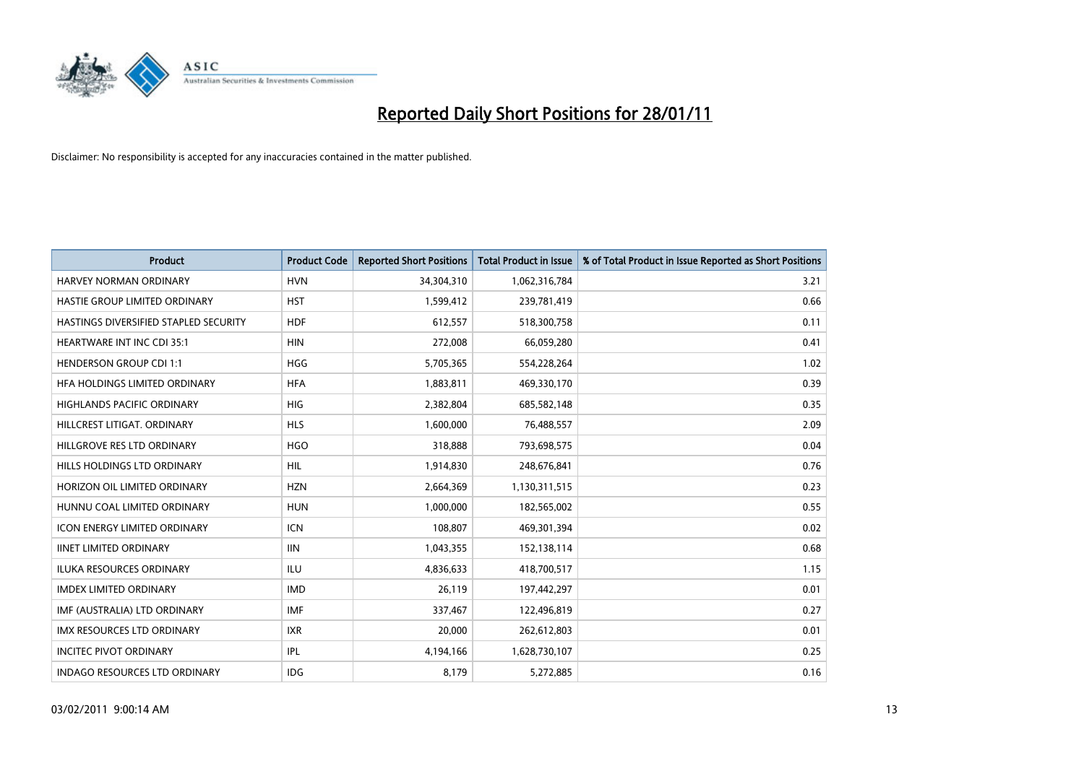

| Product                               | <b>Product Code</b> | <b>Reported Short Positions</b> | <b>Total Product in Issue</b> | % of Total Product in Issue Reported as Short Positions |
|---------------------------------------|---------------------|---------------------------------|-------------------------------|---------------------------------------------------------|
| <b>HARVEY NORMAN ORDINARY</b>         | <b>HVN</b>          | 34,304,310                      | 1,062,316,784                 | 3.21                                                    |
| HASTIE GROUP LIMITED ORDINARY         | <b>HST</b>          | 1,599,412                       | 239,781,419                   | 0.66                                                    |
| HASTINGS DIVERSIFIED STAPLED SECURITY | <b>HDF</b>          | 612,557                         | 518,300,758                   | 0.11                                                    |
| HEARTWARE INT INC CDI 35:1            | <b>HIN</b>          | 272,008                         | 66,059,280                    | 0.41                                                    |
| <b>HENDERSON GROUP CDI 1:1</b>        | <b>HGG</b>          | 5,705,365                       | 554,228,264                   | 1.02                                                    |
| HFA HOLDINGS LIMITED ORDINARY         | <b>HFA</b>          | 1,883,811                       | 469,330,170                   | 0.39                                                    |
| <b>HIGHLANDS PACIFIC ORDINARY</b>     | <b>HIG</b>          | 2,382,804                       | 685,582,148                   | 0.35                                                    |
| HILLCREST LITIGAT, ORDINARY           | <b>HLS</b>          | 1,600,000                       | 76,488,557                    | 2.09                                                    |
| HILLGROVE RES LTD ORDINARY            | <b>HGO</b>          | 318,888                         | 793,698,575                   | 0.04                                                    |
| HILLS HOLDINGS LTD ORDINARY           | <b>HIL</b>          | 1,914,830                       | 248,676,841                   | 0.76                                                    |
| HORIZON OIL LIMITED ORDINARY          | <b>HZN</b>          | 2,664,369                       | 1,130,311,515                 | 0.23                                                    |
| HUNNU COAL LIMITED ORDINARY           | <b>HUN</b>          | 1,000,000                       | 182,565,002                   | 0.55                                                    |
| <b>ICON ENERGY LIMITED ORDINARY</b>   | <b>ICN</b>          | 108,807                         | 469,301,394                   | 0.02                                                    |
| <b>IINET LIMITED ORDINARY</b>         | <b>IIN</b>          | 1,043,355                       | 152,138,114                   | 0.68                                                    |
| <b>ILUKA RESOURCES ORDINARY</b>       | ILU                 | 4,836,633                       | 418,700,517                   | 1.15                                                    |
| <b>IMDEX LIMITED ORDINARY</b>         | <b>IMD</b>          | 26,119                          | 197,442,297                   | 0.01                                                    |
| IMF (AUSTRALIA) LTD ORDINARY          | <b>IMF</b>          | 337,467                         | 122,496,819                   | 0.27                                                    |
| IMX RESOURCES LTD ORDINARY            | <b>IXR</b>          | 20,000                          | 262,612,803                   | 0.01                                                    |
| <b>INCITEC PIVOT ORDINARY</b>         | IPL                 | 4,194,166                       | 1,628,730,107                 | 0.25                                                    |
| <b>INDAGO RESOURCES LTD ORDINARY</b>  | <b>IDG</b>          | 8,179                           | 5,272,885                     | 0.16                                                    |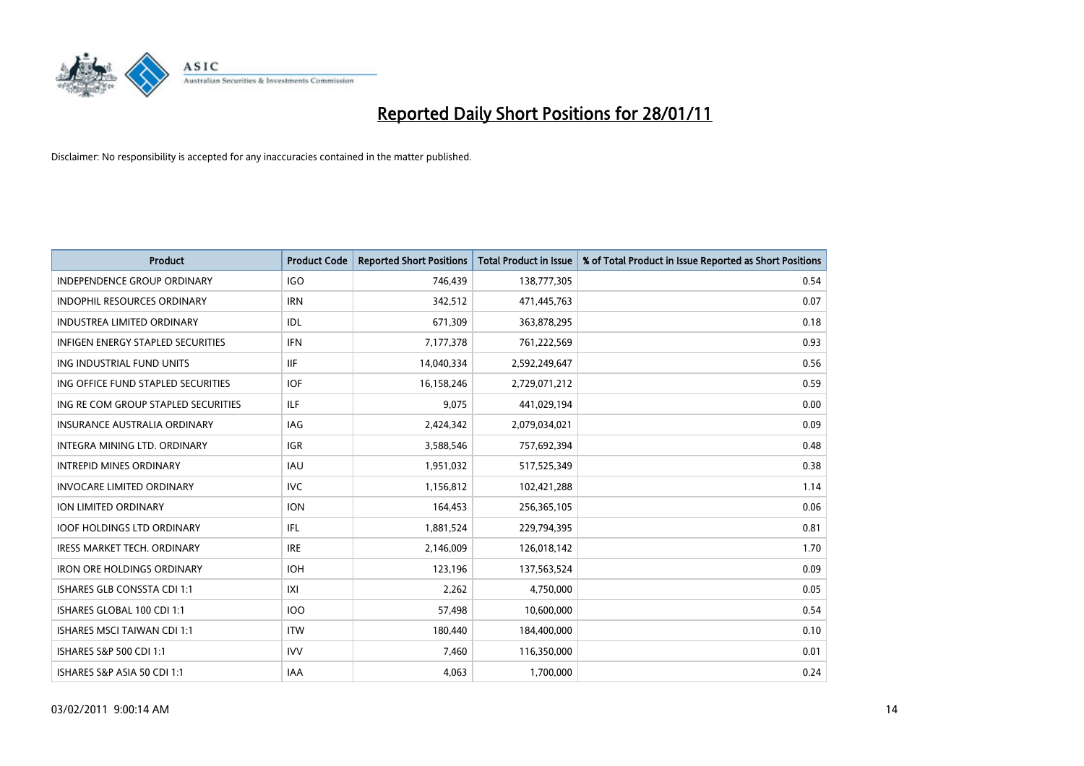

| Product                                  | <b>Product Code</b> | <b>Reported Short Positions</b> | <b>Total Product in Issue</b> | % of Total Product in Issue Reported as Short Positions |
|------------------------------------------|---------------------|---------------------------------|-------------------------------|---------------------------------------------------------|
| <b>INDEPENDENCE GROUP ORDINARY</b>       | <b>IGO</b>          | 746,439                         | 138,777,305                   | 0.54                                                    |
| INDOPHIL RESOURCES ORDINARY              | <b>IRN</b>          | 342,512                         | 471,445,763                   | 0.07                                                    |
| <b>INDUSTREA LIMITED ORDINARY</b>        | IDL                 | 671,309                         | 363,878,295                   | 0.18                                                    |
| <b>INFIGEN ENERGY STAPLED SECURITIES</b> | <b>IFN</b>          | 7,177,378                       | 761,222,569                   | 0.93                                                    |
| ING INDUSTRIAL FUND UNITS                | <b>IIF</b>          | 14,040,334                      | 2,592,249,647                 | 0.56                                                    |
| ING OFFICE FUND STAPLED SECURITIES       | <b>IOF</b>          | 16,158,246                      | 2,729,071,212                 | 0.59                                                    |
| ING RE COM GROUP STAPLED SECURITIES      | ILF.                | 9,075                           | 441,029,194                   | 0.00                                                    |
| <b>INSURANCE AUSTRALIA ORDINARY</b>      | IAG                 | 2,424,342                       | 2,079,034,021                 | 0.09                                                    |
| INTEGRA MINING LTD, ORDINARY             | <b>IGR</b>          | 3,588,546                       | 757,692,394                   | 0.48                                                    |
| <b>INTREPID MINES ORDINARY</b>           | <b>IAU</b>          | 1,951,032                       | 517,525,349                   | 0.38                                                    |
| <b>INVOCARE LIMITED ORDINARY</b>         | <b>IVC</b>          | 1,156,812                       | 102,421,288                   | 1.14                                                    |
| ION LIMITED ORDINARY                     | <b>ION</b>          | 164,453                         | 256,365,105                   | 0.06                                                    |
| <b>IOOF HOLDINGS LTD ORDINARY</b>        | IFL.                | 1,881,524                       | 229,794,395                   | 0.81                                                    |
| <b>IRESS MARKET TECH. ORDINARY</b>       | <b>IRE</b>          | 2,146,009                       | 126,018,142                   | 1.70                                                    |
| <b>IRON ORE HOLDINGS ORDINARY</b>        | <b>IOH</b>          | 123,196                         | 137,563,524                   | 0.09                                                    |
| ISHARES GLB CONSSTA CDI 1:1              | X                   | 2,262                           | 4,750,000                     | 0.05                                                    |
| ISHARES GLOBAL 100 CDI 1:1               | <b>IOO</b>          | 57,498                          | 10,600,000                    | 0.54                                                    |
| <b>ISHARES MSCI TAIWAN CDI 1:1</b>       | <b>ITW</b>          | 180,440                         | 184,400,000                   | 0.10                                                    |
| ISHARES S&P 500 CDI 1:1                  | <b>IVV</b>          | 7,460                           | 116,350,000                   | 0.01                                                    |
| ISHARES S&P ASIA 50 CDI 1:1              | <b>IAA</b>          | 4,063                           | 1,700,000                     | 0.24                                                    |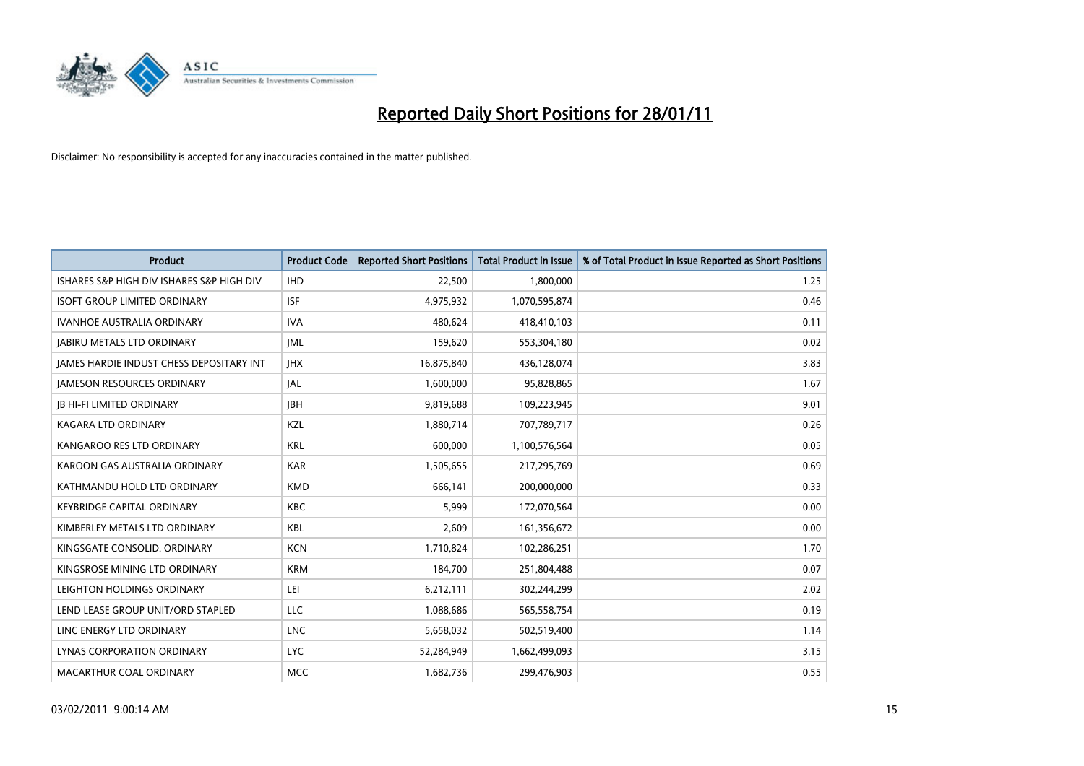

| Product                                         | <b>Product Code</b> | <b>Reported Short Positions</b> | <b>Total Product in Issue</b> | % of Total Product in Issue Reported as Short Positions |
|-------------------------------------------------|---------------------|---------------------------------|-------------------------------|---------------------------------------------------------|
| ISHARES S&P HIGH DIV ISHARES S&P HIGH DIV       | <b>IHD</b>          | 22,500                          | 1,800,000                     | 1.25                                                    |
| <b>ISOFT GROUP LIMITED ORDINARY</b>             | <b>ISF</b>          | 4,975,932                       | 1,070,595,874                 | 0.46                                                    |
| <b>IVANHOE AUSTRALIA ORDINARY</b>               | <b>IVA</b>          | 480,624                         | 418,410,103                   | 0.11                                                    |
| <b>JABIRU METALS LTD ORDINARY</b>               | <b>JML</b>          | 159,620                         | 553,304,180                   | 0.02                                                    |
| <b>JAMES HARDIE INDUST CHESS DEPOSITARY INT</b> | <b>IHX</b>          | 16,875,840                      | 436,128,074                   | 3.83                                                    |
| <b>IAMESON RESOURCES ORDINARY</b>               | <b>JAL</b>          | 1,600,000                       | 95,828,865                    | 1.67                                                    |
| <b>IB HI-FI LIMITED ORDINARY</b>                | <b>JBH</b>          | 9,819,688                       | 109,223,945                   | 9.01                                                    |
| KAGARA LTD ORDINARY                             | KZL                 | 1,880,714                       | 707,789,717                   | 0.26                                                    |
| KANGAROO RES LTD ORDINARY                       | <b>KRL</b>          | 600,000                         | 1,100,576,564                 | 0.05                                                    |
| KAROON GAS AUSTRALIA ORDINARY                   | <b>KAR</b>          | 1,505,655                       | 217,295,769                   | 0.69                                                    |
| KATHMANDU HOLD LTD ORDINARY                     | <b>KMD</b>          | 666,141                         | 200,000,000                   | 0.33                                                    |
| <b>KEYBRIDGE CAPITAL ORDINARY</b>               | KBC                 | 5,999                           | 172,070,564                   | 0.00                                                    |
| KIMBERLEY METALS LTD ORDINARY                   | KBL                 | 2,609                           | 161,356,672                   | 0.00                                                    |
| KINGSGATE CONSOLID, ORDINARY                    | <b>KCN</b>          | 1,710,824                       | 102,286,251                   | 1.70                                                    |
| KINGSROSE MINING LTD ORDINARY                   | <b>KRM</b>          | 184,700                         | 251,804,488                   | 0.07                                                    |
| LEIGHTON HOLDINGS ORDINARY                      | LEI                 | 6,212,111                       | 302,244,299                   | 2.02                                                    |
| LEND LEASE GROUP UNIT/ORD STAPLED               | LLC                 | 1,088,686                       | 565,558,754                   | 0.19                                                    |
| LINC ENERGY LTD ORDINARY                        | <b>LNC</b>          | 5,658,032                       | 502,519,400                   | 1.14                                                    |
| LYNAS CORPORATION ORDINARY                      | <b>LYC</b>          | 52,284,949                      | 1,662,499,093                 | 3.15                                                    |
| MACARTHUR COAL ORDINARY                         | <b>MCC</b>          | 1,682,736                       | 299,476,903                   | 0.55                                                    |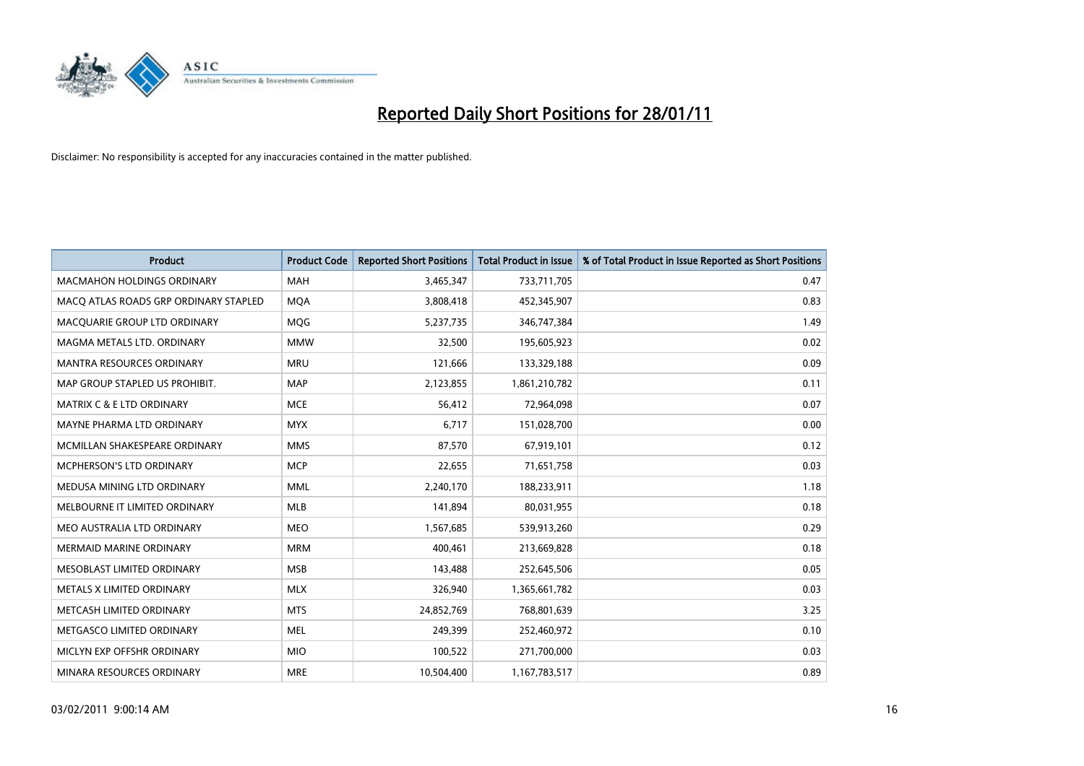

| Product                               | <b>Product Code</b> | <b>Reported Short Positions</b> | Total Product in Issue | % of Total Product in Issue Reported as Short Positions |
|---------------------------------------|---------------------|---------------------------------|------------------------|---------------------------------------------------------|
| <b>MACMAHON HOLDINGS ORDINARY</b>     | <b>MAH</b>          | 3,465,347                       | 733,711,705            | 0.47                                                    |
| MACQ ATLAS ROADS GRP ORDINARY STAPLED | <b>MOA</b>          | 3,808,418                       | 452,345,907            | 0.83                                                    |
| MACQUARIE GROUP LTD ORDINARY          | MQG                 | 5,237,735                       | 346,747,384            | 1.49                                                    |
| MAGMA METALS LTD. ORDINARY            | <b>MMW</b>          | 32,500                          | 195,605,923            | 0.02                                                    |
| <b>MANTRA RESOURCES ORDINARY</b>      | <b>MRU</b>          | 121,666                         | 133,329,188            | 0.09                                                    |
| MAP GROUP STAPLED US PROHIBIT.        | <b>MAP</b>          | 2,123,855                       | 1,861,210,782          | 0.11                                                    |
| <b>MATRIX C &amp; E LTD ORDINARY</b>  | <b>MCE</b>          | 56,412                          | 72,964,098             | 0.07                                                    |
| MAYNE PHARMA LTD ORDINARY             | <b>MYX</b>          | 6,717                           | 151,028,700            | 0.00                                                    |
| MCMILLAN SHAKESPEARE ORDINARY         | <b>MMS</b>          | 87,570                          | 67,919,101             | 0.12                                                    |
| MCPHERSON'S LTD ORDINARY              | <b>MCP</b>          | 22,655                          | 71,651,758             | 0.03                                                    |
| MEDUSA MINING LTD ORDINARY            | <b>MML</b>          | 2,240,170                       | 188,233,911            | 1.18                                                    |
| MELBOURNE IT LIMITED ORDINARY         | <b>MLB</b>          | 141,894                         | 80,031,955             | 0.18                                                    |
| MEO AUSTRALIA LTD ORDINARY            | <b>MEO</b>          | 1,567,685                       | 539,913,260            | 0.29                                                    |
| <b>MERMAID MARINE ORDINARY</b>        | <b>MRM</b>          | 400.461                         | 213,669,828            | 0.18                                                    |
| MESOBLAST LIMITED ORDINARY            | <b>MSB</b>          | 143,488                         | 252,645,506            | 0.05                                                    |
| METALS X LIMITED ORDINARY             | <b>MLX</b>          | 326,940                         | 1,365,661,782          | 0.03                                                    |
| METCASH LIMITED ORDINARY              | <b>MTS</b>          | 24,852,769                      | 768,801,639            | 3.25                                                    |
| METGASCO LIMITED ORDINARY             | <b>MEL</b>          | 249,399                         | 252,460,972            | 0.10                                                    |
| MICLYN EXP OFFSHR ORDINARY            | <b>MIO</b>          | 100,522                         | 271,700,000            | 0.03                                                    |
| MINARA RESOURCES ORDINARY             | <b>MRE</b>          | 10,504,400                      | 1,167,783,517          | 0.89                                                    |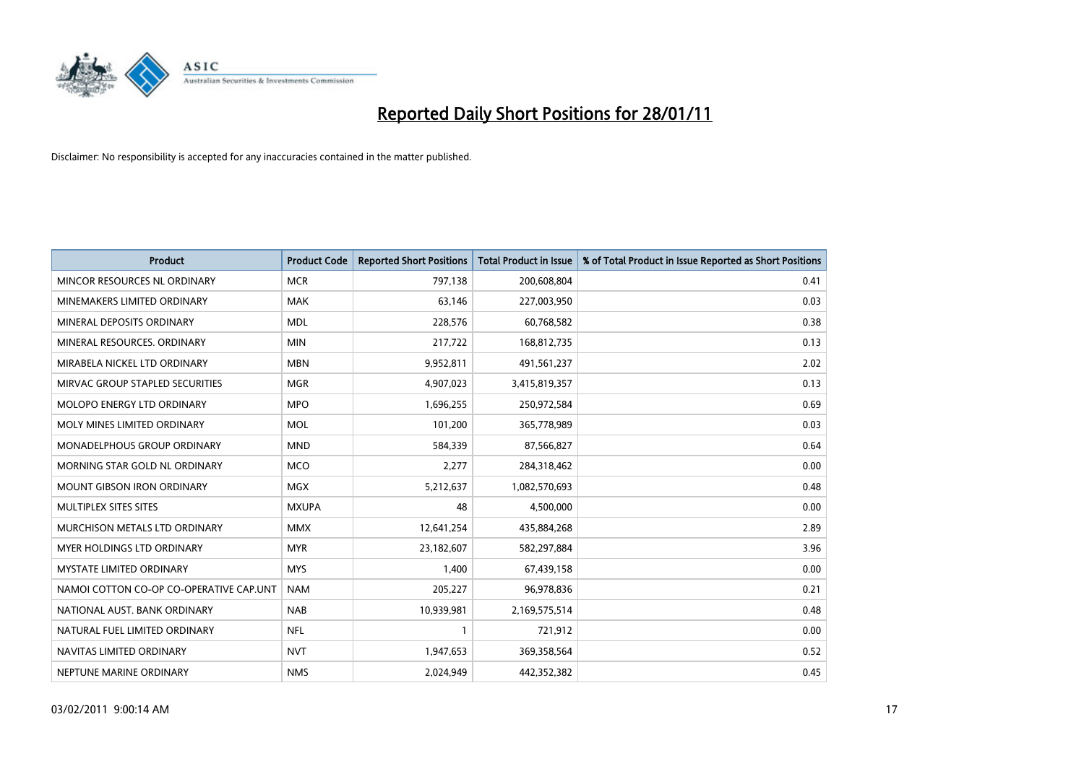

| <b>Product</b>                          | <b>Product Code</b> | <b>Reported Short Positions</b> | Total Product in Issue | % of Total Product in Issue Reported as Short Positions |
|-----------------------------------------|---------------------|---------------------------------|------------------------|---------------------------------------------------------|
| MINCOR RESOURCES NL ORDINARY            | <b>MCR</b>          | 797,138                         | 200,608,804            | 0.41                                                    |
| MINEMAKERS LIMITED ORDINARY             | <b>MAK</b>          | 63,146                          | 227,003,950            | 0.03                                                    |
| MINERAL DEPOSITS ORDINARY               | <b>MDL</b>          | 228,576                         | 60,768,582             | 0.38                                                    |
| MINERAL RESOURCES, ORDINARY             | <b>MIN</b>          | 217,722                         | 168,812,735            | 0.13                                                    |
| MIRABELA NICKEL LTD ORDINARY            | <b>MBN</b>          | 9,952,811                       | 491,561,237            | 2.02                                                    |
| MIRVAC GROUP STAPLED SECURITIES         | <b>MGR</b>          | 4,907,023                       | 3,415,819,357          | 0.13                                                    |
| <b>MOLOPO ENERGY LTD ORDINARY</b>       | <b>MPO</b>          | 1,696,255                       | 250,972,584            | 0.69                                                    |
| MOLY MINES LIMITED ORDINARY             | <b>MOL</b>          | 101,200                         | 365,778,989            | 0.03                                                    |
| MONADELPHOUS GROUP ORDINARY             | <b>MND</b>          | 584,339                         | 87,566,827             | 0.64                                                    |
| MORNING STAR GOLD NL ORDINARY           | <b>MCO</b>          | 2,277                           | 284,318,462            | 0.00                                                    |
| MOUNT GIBSON IRON ORDINARY              | <b>MGX</b>          | 5,212,637                       | 1,082,570,693          | 0.48                                                    |
| MULTIPLEX SITES SITES                   | <b>MXUPA</b>        | 48                              | 4,500,000              | 0.00                                                    |
| MURCHISON METALS LTD ORDINARY           | <b>MMX</b>          | 12,641,254                      | 435,884,268            | 2.89                                                    |
| <b>MYER HOLDINGS LTD ORDINARY</b>       | <b>MYR</b>          | 23,182,607                      | 582,297,884            | 3.96                                                    |
| <b>MYSTATE LIMITED ORDINARY</b>         | <b>MYS</b>          | 1,400                           | 67,439,158             | 0.00                                                    |
| NAMOI COTTON CO-OP CO-OPERATIVE CAP.UNT | <b>NAM</b>          | 205,227                         | 96,978,836             | 0.21                                                    |
| NATIONAL AUST. BANK ORDINARY            | <b>NAB</b>          | 10,939,981                      | 2,169,575,514          | 0.48                                                    |
| NATURAL FUEL LIMITED ORDINARY           | <b>NFL</b>          |                                 | 721,912                | 0.00                                                    |
| NAVITAS LIMITED ORDINARY                | <b>NVT</b>          | 1,947,653                       | 369,358,564            | 0.52                                                    |
| NEPTUNE MARINE ORDINARY                 | <b>NMS</b>          | 2,024,949                       | 442,352,382            | 0.45                                                    |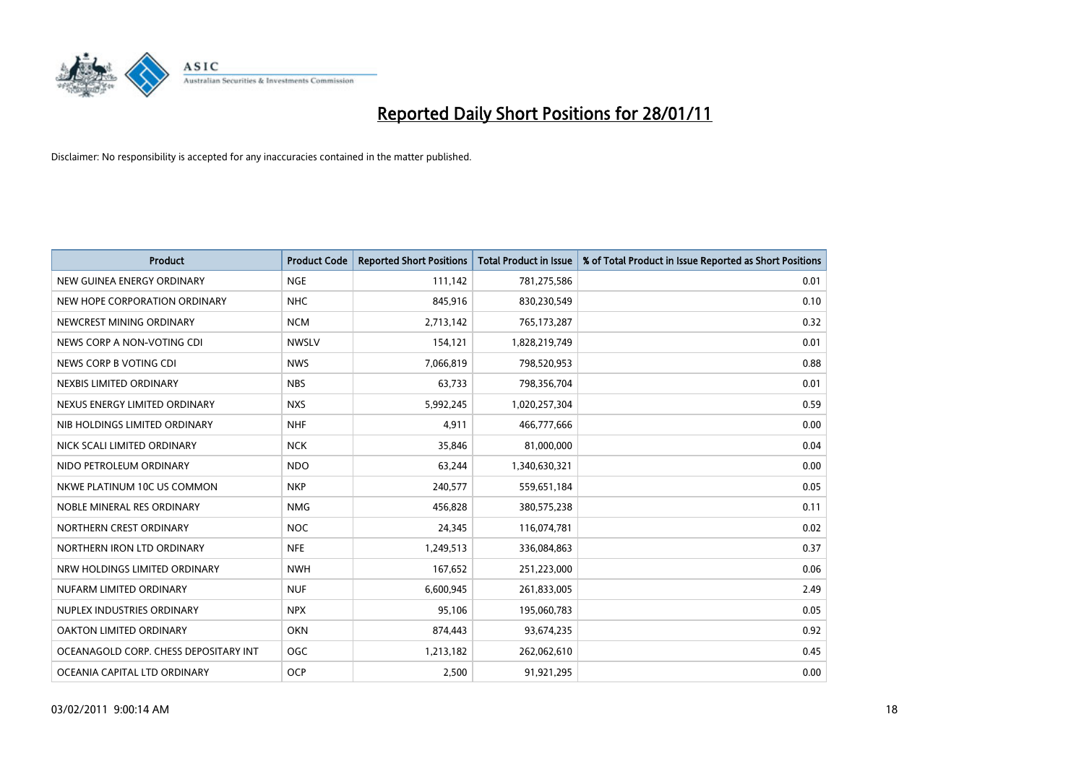

| Product                               | <b>Product Code</b> | <b>Reported Short Positions</b> | Total Product in Issue | % of Total Product in Issue Reported as Short Positions |
|---------------------------------------|---------------------|---------------------------------|------------------------|---------------------------------------------------------|
| NEW GUINEA ENERGY ORDINARY            | <b>NGE</b>          | 111,142                         | 781,275,586            | 0.01                                                    |
| NEW HOPE CORPORATION ORDINARY         | <b>NHC</b>          | 845,916                         | 830,230,549            | 0.10                                                    |
| NEWCREST MINING ORDINARY              | <b>NCM</b>          | 2,713,142                       | 765,173,287            | 0.32                                                    |
| NEWS CORP A NON-VOTING CDI            | <b>NWSLV</b>        | 154,121                         | 1,828,219,749          | 0.01                                                    |
| NEWS CORP B VOTING CDI                | <b>NWS</b>          | 7,066,819                       | 798,520,953            | 0.88                                                    |
| NEXBIS LIMITED ORDINARY               | <b>NBS</b>          | 63,733                          | 798,356,704            | 0.01                                                    |
| NEXUS ENERGY LIMITED ORDINARY         | <b>NXS</b>          | 5,992,245                       | 1,020,257,304          | 0.59                                                    |
| NIB HOLDINGS LIMITED ORDINARY         | <b>NHF</b>          | 4,911                           | 466,777,666            | 0.00                                                    |
| NICK SCALI LIMITED ORDINARY           | <b>NCK</b>          | 35,846                          | 81,000,000             | 0.04                                                    |
| NIDO PETROLEUM ORDINARY               | <b>NDO</b>          | 63,244                          | 1,340,630,321          | 0.00                                                    |
| NKWE PLATINUM 10C US COMMON           | <b>NKP</b>          | 240,577                         | 559,651,184            | 0.05                                                    |
| NOBLE MINERAL RES ORDINARY            | <b>NMG</b>          | 456,828                         | 380,575,238            | 0.11                                                    |
| NORTHERN CREST ORDINARY               | <b>NOC</b>          | 24,345                          | 116,074,781            | 0.02                                                    |
| NORTHERN IRON LTD ORDINARY            | <b>NFE</b>          | 1,249,513                       | 336,084,863            | 0.37                                                    |
| NRW HOLDINGS LIMITED ORDINARY         | <b>NWH</b>          | 167,652                         | 251,223,000            | 0.06                                                    |
| NUFARM LIMITED ORDINARY               | <b>NUF</b>          | 6,600,945                       | 261,833,005            | 2.49                                                    |
| NUPLEX INDUSTRIES ORDINARY            | <b>NPX</b>          | 95,106                          | 195,060,783            | 0.05                                                    |
| OAKTON LIMITED ORDINARY               | <b>OKN</b>          | 874,443                         | 93,674,235             | 0.92                                                    |
| OCEANAGOLD CORP. CHESS DEPOSITARY INT | <b>OGC</b>          | 1,213,182                       | 262,062,610            | 0.45                                                    |
| OCEANIA CAPITAL LTD ORDINARY          | <b>OCP</b>          | 2,500                           | 91,921,295             | 0.00                                                    |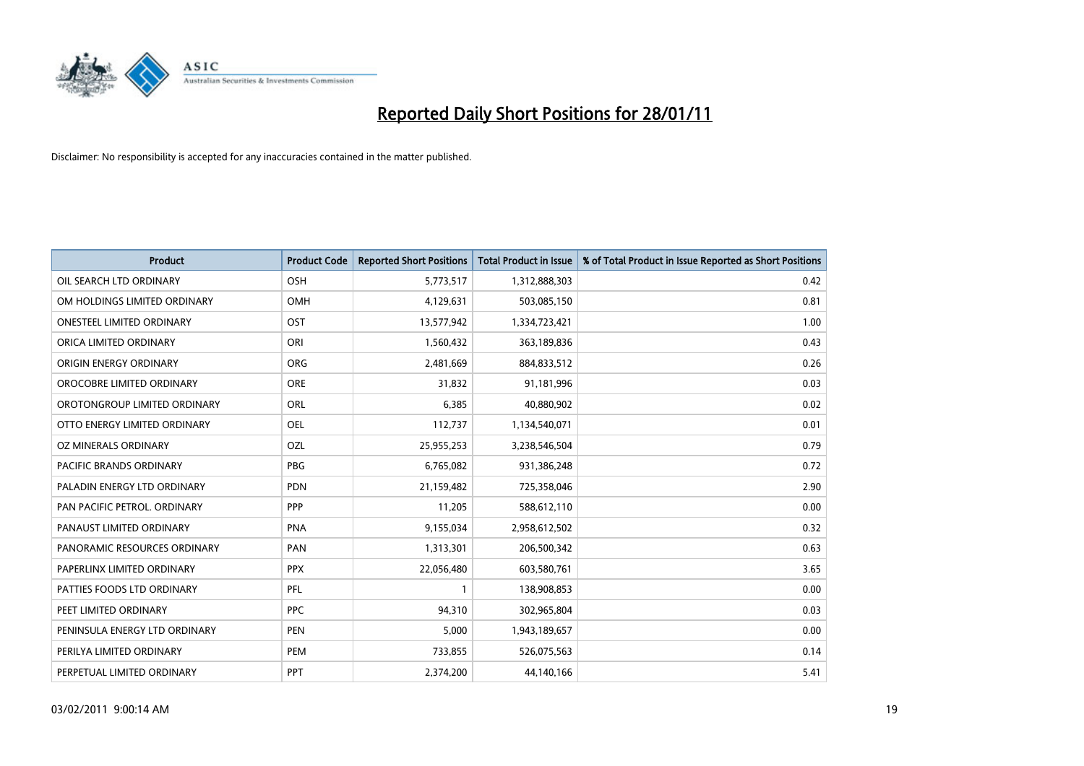

| <b>Product</b>                   | <b>Product Code</b> | <b>Reported Short Positions</b> | Total Product in Issue | % of Total Product in Issue Reported as Short Positions |
|----------------------------------|---------------------|---------------------------------|------------------------|---------------------------------------------------------|
| OIL SEARCH LTD ORDINARY          | <b>OSH</b>          | 5,773,517                       | 1,312,888,303          | 0.42                                                    |
| OM HOLDINGS LIMITED ORDINARY     | OMH                 | 4,129,631                       | 503,085,150            | 0.81                                                    |
| <b>ONESTEEL LIMITED ORDINARY</b> | OST                 | 13,577,942                      | 1,334,723,421          | 1.00                                                    |
| ORICA LIMITED ORDINARY           | ORI                 | 1,560,432                       | 363,189,836            | 0.43                                                    |
| ORIGIN ENERGY ORDINARY           | <b>ORG</b>          | 2,481,669                       | 884,833,512            | 0.26                                                    |
| OROCOBRE LIMITED ORDINARY        | <b>ORE</b>          | 31,832                          | 91,181,996             | 0.03                                                    |
| OROTONGROUP LIMITED ORDINARY     | ORL                 | 6.385                           | 40,880,902             | 0.02                                                    |
| OTTO ENERGY LIMITED ORDINARY     | OEL                 | 112,737                         | 1,134,540,071          | 0.01                                                    |
| OZ MINERALS ORDINARY             | OZL                 | 25,955,253                      | 3,238,546,504          | 0.79                                                    |
| <b>PACIFIC BRANDS ORDINARY</b>   | <b>PBG</b>          | 6,765,082                       | 931,386,248            | 0.72                                                    |
| PALADIN ENERGY LTD ORDINARY      | <b>PDN</b>          | 21,159,482                      | 725,358,046            | 2.90                                                    |
| PAN PACIFIC PETROL. ORDINARY     | <b>PPP</b>          | 11,205                          | 588,612,110            | 0.00                                                    |
| PANAUST LIMITED ORDINARY         | <b>PNA</b>          | 9,155,034                       | 2,958,612,502          | 0.32                                                    |
| PANORAMIC RESOURCES ORDINARY     | PAN                 | 1,313,301                       | 206,500,342            | 0.63                                                    |
| PAPERLINX LIMITED ORDINARY       | <b>PPX</b>          | 22,056,480                      | 603,580,761            | 3.65                                                    |
| PATTIES FOODS LTD ORDINARY       | PFL                 |                                 | 138,908,853            | 0.00                                                    |
| PEET LIMITED ORDINARY            | <b>PPC</b>          | 94,310                          | 302,965,804            | 0.03                                                    |
| PENINSULA ENERGY LTD ORDINARY    | <b>PEN</b>          | 5,000                           | 1,943,189,657          | 0.00                                                    |
| PERILYA LIMITED ORDINARY         | PEM                 | 733,855                         | 526,075,563            | 0.14                                                    |
| PERPETUAL LIMITED ORDINARY       | PPT                 | 2,374,200                       | 44,140,166             | 5.41                                                    |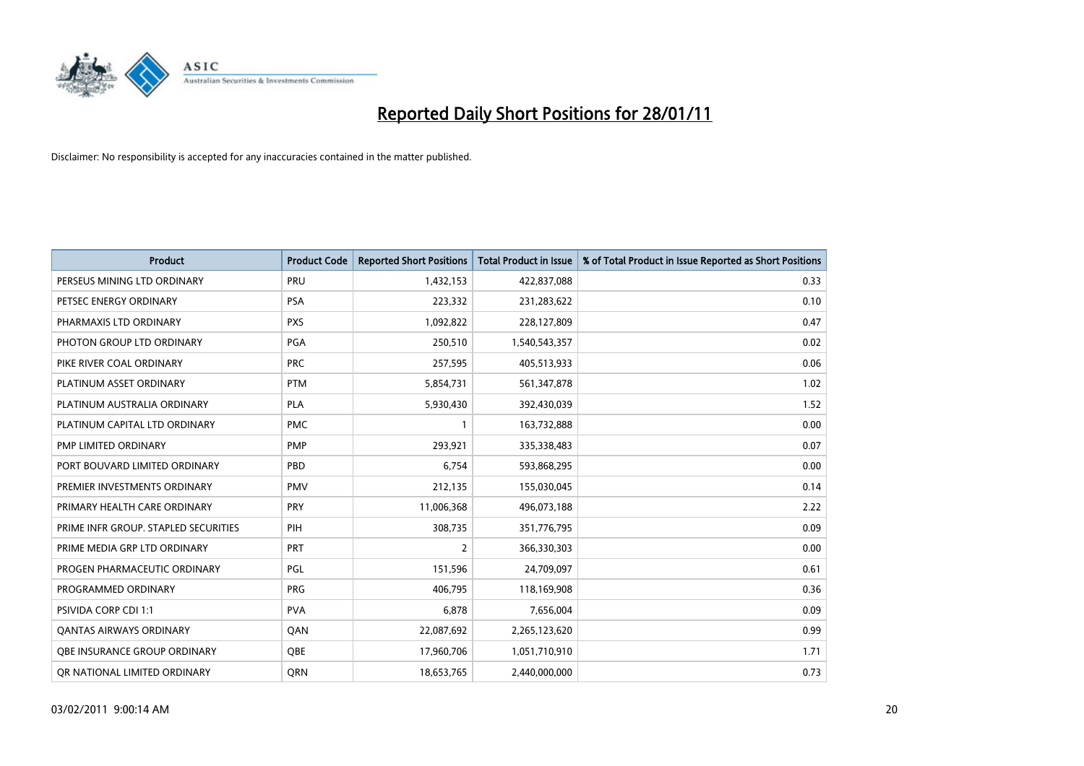

| Product                              | <b>Product Code</b> | <b>Reported Short Positions</b> | <b>Total Product in Issue</b> | % of Total Product in Issue Reported as Short Positions |
|--------------------------------------|---------------------|---------------------------------|-------------------------------|---------------------------------------------------------|
| PERSEUS MINING LTD ORDINARY          | PRU                 | 1,432,153                       | 422,837,088                   | 0.33                                                    |
| PETSEC ENERGY ORDINARY               | <b>PSA</b>          | 223,332                         | 231,283,622                   | 0.10                                                    |
| PHARMAXIS LTD ORDINARY               | <b>PXS</b>          | 1,092,822                       | 228,127,809                   | 0.47                                                    |
| PHOTON GROUP LTD ORDINARY            | PGA                 | 250,510                         | 1,540,543,357                 | 0.02                                                    |
| PIKE RIVER COAL ORDINARY             | <b>PRC</b>          | 257,595                         | 405,513,933                   | 0.06                                                    |
| PLATINUM ASSET ORDINARY              | <b>PTM</b>          | 5,854,731                       | 561,347,878                   | 1.02                                                    |
| PLATINUM AUSTRALIA ORDINARY          | <b>PLA</b>          | 5,930,430                       | 392,430,039                   | 1.52                                                    |
| PLATINUM CAPITAL LTD ORDINARY        | <b>PMC</b>          |                                 | 163,732,888                   | 0.00                                                    |
| PMP LIMITED ORDINARY                 | <b>PMP</b>          | 293,921                         | 335,338,483                   | 0.07                                                    |
| PORT BOUVARD LIMITED ORDINARY        | PBD                 | 6,754                           | 593,868,295                   | 0.00                                                    |
| PREMIER INVESTMENTS ORDINARY         | <b>PMV</b>          | 212,135                         | 155,030,045                   | 0.14                                                    |
| PRIMARY HEALTH CARE ORDINARY         | <b>PRY</b>          | 11,006,368                      | 496,073,188                   | 2.22                                                    |
| PRIME INFR GROUP. STAPLED SECURITIES | PIH                 | 308,735                         | 351,776,795                   | 0.09                                                    |
| PRIME MEDIA GRP LTD ORDINARY         | PRT                 | $\overline{2}$                  | 366,330,303                   | 0.00                                                    |
| PROGEN PHARMACEUTIC ORDINARY         | PGL                 | 151,596                         | 24,709,097                    | 0.61                                                    |
| PROGRAMMED ORDINARY                  | <b>PRG</b>          | 406.795                         | 118,169,908                   | 0.36                                                    |
| <b>PSIVIDA CORP CDI 1:1</b>          | <b>PVA</b>          | 6,878                           | 7,656,004                     | 0.09                                                    |
| <b>QANTAS AIRWAYS ORDINARY</b>       | QAN                 | 22,087,692                      | 2,265,123,620                 | 0.99                                                    |
| <b>OBE INSURANCE GROUP ORDINARY</b>  | <b>OBE</b>          | 17,960,706                      | 1,051,710,910                 | 1.71                                                    |
| OR NATIONAL LIMITED ORDINARY         | <b>ORN</b>          | 18,653,765                      | 2,440,000,000                 | 0.73                                                    |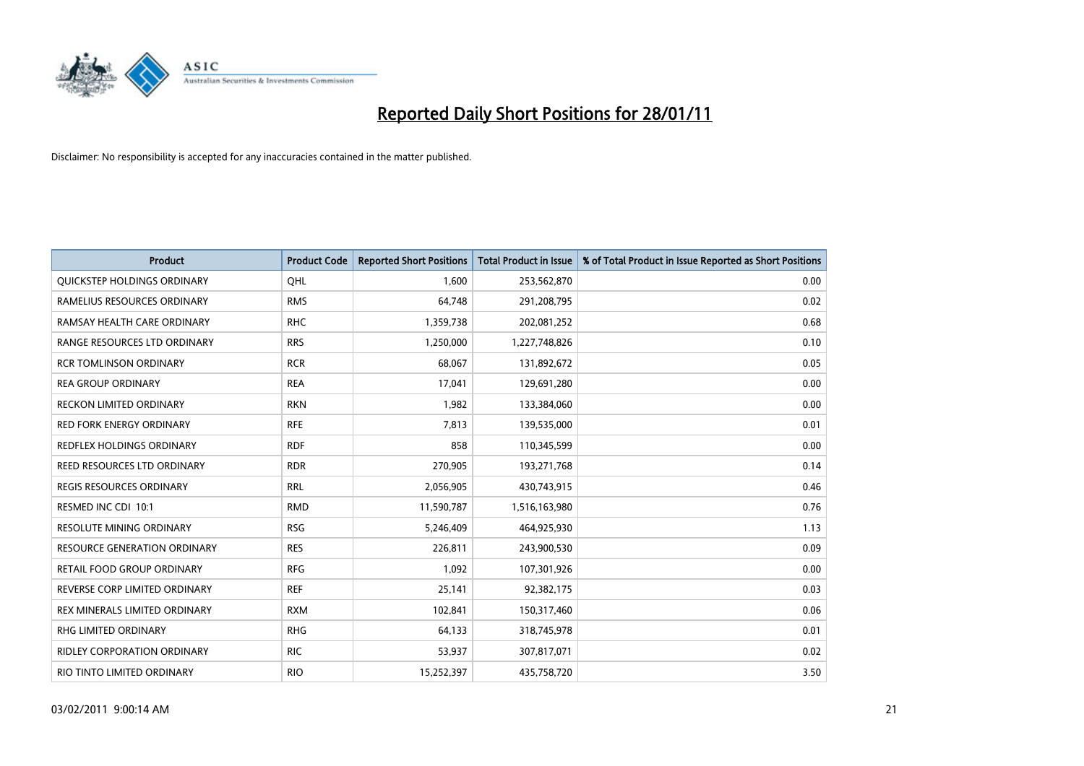

| Product                              | <b>Product Code</b> | <b>Reported Short Positions</b> | Total Product in Issue | % of Total Product in Issue Reported as Short Positions |
|--------------------------------------|---------------------|---------------------------------|------------------------|---------------------------------------------------------|
| QUICKSTEP HOLDINGS ORDINARY          | OHL                 | 1,600                           | 253,562,870            | 0.00                                                    |
| RAMELIUS RESOURCES ORDINARY          | <b>RMS</b>          | 64,748                          | 291,208,795            | 0.02                                                    |
| RAMSAY HEALTH CARE ORDINARY          | <b>RHC</b>          | 1,359,738                       | 202,081,252            | 0.68                                                    |
| RANGE RESOURCES LTD ORDINARY         | <b>RRS</b>          | 1,250,000                       | 1,227,748,826          | 0.10                                                    |
| <b>RCR TOMLINSON ORDINARY</b>        | <b>RCR</b>          | 68.067                          | 131,892,672            | 0.05                                                    |
| <b>REA GROUP ORDINARY</b>            | <b>REA</b>          | 17,041                          | 129,691,280            | 0.00                                                    |
| <b>RECKON LIMITED ORDINARY</b>       | <b>RKN</b>          | 1,982                           | 133,384,060            | 0.00                                                    |
| <b>RED FORK ENERGY ORDINARY</b>      | <b>RFE</b>          | 7,813                           | 139,535,000            | 0.01                                                    |
| REDFLEX HOLDINGS ORDINARY            | <b>RDF</b>          | 858                             | 110,345,599            | 0.00                                                    |
| <b>REED RESOURCES LTD ORDINARY</b>   | <b>RDR</b>          | 270,905                         | 193,271,768            | 0.14                                                    |
| <b>REGIS RESOURCES ORDINARY</b>      | <b>RRL</b>          | 2,056,905                       | 430,743,915            | 0.46                                                    |
| RESMED INC CDI 10:1                  | <b>RMD</b>          | 11,590,787                      | 1,516,163,980          | 0.76                                                    |
| <b>RESOLUTE MINING ORDINARY</b>      | <b>RSG</b>          | 5,246,409                       | 464,925,930            | 1.13                                                    |
| <b>RESOURCE GENERATION ORDINARY</b>  | <b>RES</b>          | 226.811                         | 243,900,530            | 0.09                                                    |
| <b>RETAIL FOOD GROUP ORDINARY</b>    | <b>RFG</b>          | 1,092                           | 107,301,926            | 0.00                                                    |
| REVERSE CORP LIMITED ORDINARY        | <b>REF</b>          | 25,141                          | 92,382,175             | 0.03                                                    |
| <b>REX MINERALS LIMITED ORDINARY</b> | <b>RXM</b>          | 102,841                         | 150,317,460            | 0.06                                                    |
| RHG LIMITED ORDINARY                 | <b>RHG</b>          | 64,133                          | 318,745,978            | 0.01                                                    |
| <b>RIDLEY CORPORATION ORDINARY</b>   | <b>RIC</b>          | 53,937                          | 307,817,071            | 0.02                                                    |
| RIO TINTO LIMITED ORDINARY           | <b>RIO</b>          | 15,252,397                      | 435,758,720            | 3.50                                                    |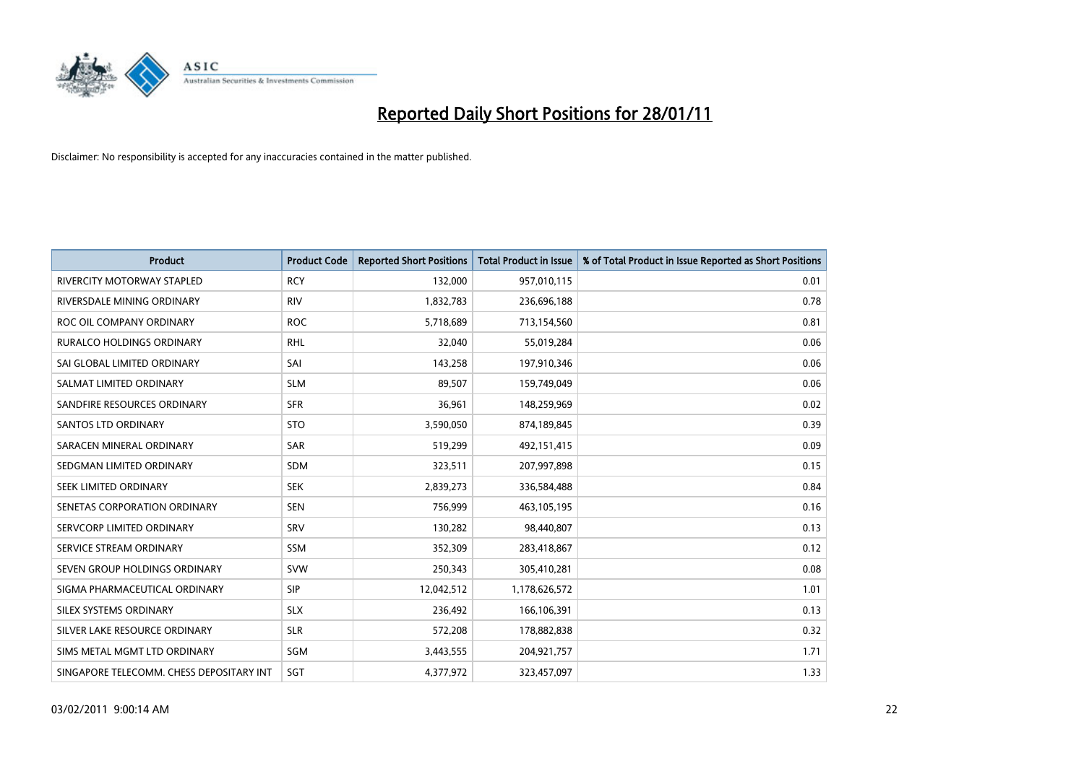

| <b>Product</b>                           | <b>Product Code</b> | <b>Reported Short Positions</b> | Total Product in Issue | % of Total Product in Issue Reported as Short Positions |
|------------------------------------------|---------------------|---------------------------------|------------------------|---------------------------------------------------------|
| <b>RIVERCITY MOTORWAY STAPLED</b>        | <b>RCY</b>          | 132,000                         | 957,010,115            | 0.01                                                    |
| RIVERSDALE MINING ORDINARY               | <b>RIV</b>          | 1,832,783                       | 236,696,188            | 0.78                                                    |
| ROC OIL COMPANY ORDINARY                 | <b>ROC</b>          | 5,718,689                       | 713,154,560            | 0.81                                                    |
| RURALCO HOLDINGS ORDINARY                | <b>RHL</b>          | 32,040                          | 55,019,284             | 0.06                                                    |
| SAI GLOBAL LIMITED ORDINARY              | SAI                 | 143,258                         | 197,910,346            | 0.06                                                    |
| SALMAT LIMITED ORDINARY                  | <b>SLM</b>          | 89,507                          | 159,749,049            | 0.06                                                    |
| SANDFIRE RESOURCES ORDINARY              | <b>SFR</b>          | 36,961                          | 148,259,969            | 0.02                                                    |
| <b>SANTOS LTD ORDINARY</b>               | <b>STO</b>          | 3,590,050                       | 874,189,845            | 0.39                                                    |
| SARACEN MINERAL ORDINARY                 | <b>SAR</b>          | 519,299                         | 492,151,415            | 0.09                                                    |
| SEDGMAN LIMITED ORDINARY                 | <b>SDM</b>          | 323,511                         | 207,997,898            | 0.15                                                    |
| <b>SEEK LIMITED ORDINARY</b>             | <b>SEK</b>          | 2,839,273                       | 336,584,488            | 0.84                                                    |
| SENETAS CORPORATION ORDINARY             | <b>SEN</b>          | 756,999                         | 463,105,195            | 0.16                                                    |
| SERVCORP LIMITED ORDINARY                | SRV                 | 130,282                         | 98,440,807             | 0.13                                                    |
| SERVICE STREAM ORDINARY                  | <b>SSM</b>          | 352.309                         | 283,418,867            | 0.12                                                    |
| SEVEN GROUP HOLDINGS ORDINARY            | <b>SVW</b>          | 250,343                         | 305,410,281            | 0.08                                                    |
| SIGMA PHARMACEUTICAL ORDINARY            | <b>SIP</b>          | 12,042,512                      | 1,178,626,572          | 1.01                                                    |
| SILEX SYSTEMS ORDINARY                   | <b>SLX</b>          | 236,492                         | 166,106,391            | 0.13                                                    |
| SILVER LAKE RESOURCE ORDINARY            | <b>SLR</b>          | 572,208                         | 178,882,838            | 0.32                                                    |
| SIMS METAL MGMT LTD ORDINARY             | SGM                 | 3,443,555                       | 204,921,757            | 1.71                                                    |
| SINGAPORE TELECOMM. CHESS DEPOSITARY INT | SGT                 | 4.377.972                       | 323,457,097            | 1.33                                                    |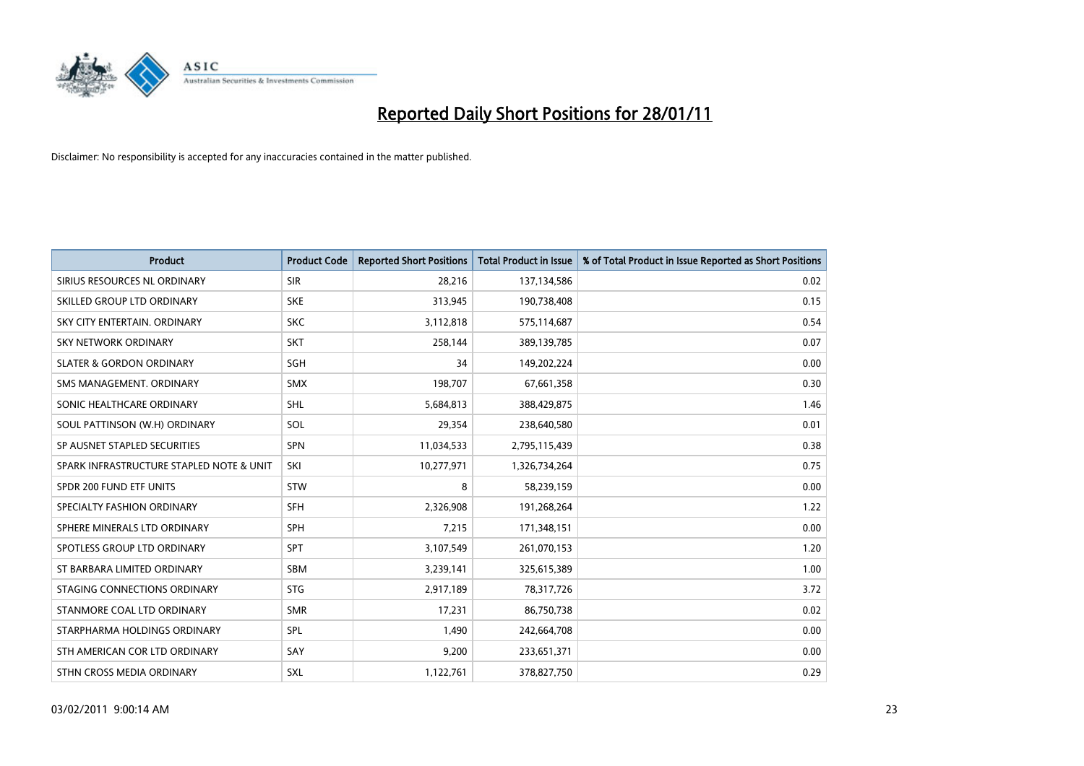

| <b>Product</b>                           | <b>Product Code</b> | <b>Reported Short Positions</b> | <b>Total Product in Issue</b> | % of Total Product in Issue Reported as Short Positions |
|------------------------------------------|---------------------|---------------------------------|-------------------------------|---------------------------------------------------------|
| SIRIUS RESOURCES NL ORDINARY             | <b>SIR</b>          | 28,216                          | 137,134,586                   | 0.02                                                    |
| SKILLED GROUP LTD ORDINARY               | <b>SKE</b>          | 313,945                         | 190,738,408                   | 0.15                                                    |
| SKY CITY ENTERTAIN, ORDINARY             | <b>SKC</b>          | 3,112,818                       | 575,114,687                   | 0.54                                                    |
| SKY NETWORK ORDINARY                     | <b>SKT</b>          | 258,144                         | 389,139,785                   | 0.07                                                    |
| <b>SLATER &amp; GORDON ORDINARY</b>      | SGH                 | 34                              | 149,202,224                   | 0.00                                                    |
| SMS MANAGEMENT, ORDINARY                 | <b>SMX</b>          | 198,707                         | 67,661,358                    | 0.30                                                    |
| SONIC HEALTHCARE ORDINARY                | <b>SHL</b>          | 5,684,813                       | 388,429,875                   | 1.46                                                    |
| SOUL PATTINSON (W.H) ORDINARY            | SOL                 | 29,354                          | 238,640,580                   | 0.01                                                    |
| SP AUSNET STAPLED SECURITIES             | <b>SPN</b>          | 11,034,533                      | 2,795,115,439                 | 0.38                                                    |
| SPARK INFRASTRUCTURE STAPLED NOTE & UNIT | SKI                 | 10,277,971                      | 1,326,734,264                 | 0.75                                                    |
| SPDR 200 FUND ETF UNITS                  | <b>STW</b>          | 8                               | 58,239,159                    | 0.00                                                    |
| SPECIALTY FASHION ORDINARY               | <b>SFH</b>          | 2,326,908                       | 191,268,264                   | 1.22                                                    |
| SPHERE MINERALS LTD ORDINARY             | <b>SPH</b>          | 7,215                           | 171,348,151                   | 0.00                                                    |
| SPOTLESS GROUP LTD ORDINARY              | <b>SPT</b>          | 3,107,549                       | 261,070,153                   | 1.20                                                    |
| ST BARBARA LIMITED ORDINARY              | <b>SBM</b>          | 3,239,141                       | 325,615,389                   | 1.00                                                    |
| STAGING CONNECTIONS ORDINARY             | <b>STG</b>          | 2,917,189                       | 78,317,726                    | 3.72                                                    |
| STANMORE COAL LTD ORDINARY               | <b>SMR</b>          | 17,231                          | 86,750,738                    | 0.02                                                    |
| STARPHARMA HOLDINGS ORDINARY             | SPL                 | 1,490                           | 242,664,708                   | 0.00                                                    |
| STH AMERICAN COR LTD ORDINARY            | SAY                 | 9,200                           | 233,651,371                   | 0.00                                                    |
| STHN CROSS MEDIA ORDINARY                | SXL                 | 1,122,761                       | 378,827,750                   | 0.29                                                    |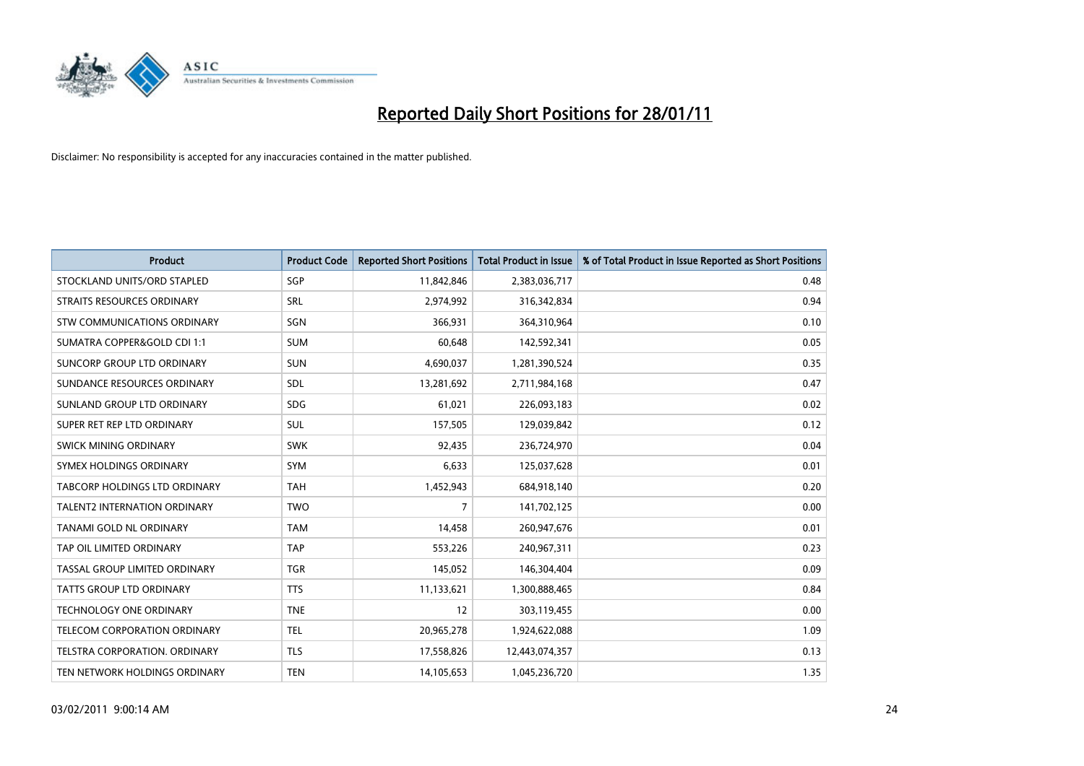

| <b>Product</b>                      | <b>Product Code</b> | <b>Reported Short Positions</b> | <b>Total Product in Issue</b> | % of Total Product in Issue Reported as Short Positions |
|-------------------------------------|---------------------|---------------------------------|-------------------------------|---------------------------------------------------------|
| STOCKLAND UNITS/ORD STAPLED         | SGP                 | 11,842,846                      | 2,383,036,717                 | 0.48                                                    |
| STRAITS RESOURCES ORDINARY          | SRL                 | 2,974,992                       | 316, 342, 834                 | 0.94                                                    |
| STW COMMUNICATIONS ORDINARY         | SGN                 | 366.931                         | 364,310,964                   | 0.10                                                    |
| SUMATRA COPPER&GOLD CDI 1:1         | <b>SUM</b>          | 60,648                          | 142,592,341                   | 0.05                                                    |
| SUNCORP GROUP LTD ORDINARY          | <b>SUN</b>          | 4,690,037                       | 1,281,390,524                 | 0.35                                                    |
| SUNDANCE RESOURCES ORDINARY         | SDL                 | 13,281,692                      | 2,711,984,168                 | 0.47                                                    |
| SUNLAND GROUP LTD ORDINARY          | <b>SDG</b>          | 61,021                          | 226,093,183                   | 0.02                                                    |
| SUPER RET REP LTD ORDINARY          | SUL                 | 157,505                         | 129,039,842                   | 0.12                                                    |
| <b>SWICK MINING ORDINARY</b>        | <b>SWK</b>          | 92,435                          | 236,724,970                   | 0.04                                                    |
| SYMEX HOLDINGS ORDINARY             | <b>SYM</b>          | 6,633                           | 125,037,628                   | 0.01                                                    |
| TABCORP HOLDINGS LTD ORDINARY       | <b>TAH</b>          | 1,452,943                       | 684,918,140                   | 0.20                                                    |
| <b>TALENT2 INTERNATION ORDINARY</b> | <b>TWO</b>          | 7                               | 141,702,125                   | 0.00                                                    |
| TANAMI GOLD NL ORDINARY             | <b>TAM</b>          | 14,458                          | 260,947,676                   | 0.01                                                    |
| TAP OIL LIMITED ORDINARY            | <b>TAP</b>          | 553,226                         | 240,967,311                   | 0.23                                                    |
| TASSAL GROUP LIMITED ORDINARY       | <b>TGR</b>          | 145,052                         | 146,304,404                   | 0.09                                                    |
| TATTS GROUP LTD ORDINARY            | <b>TTS</b>          | 11,133,621                      | 1,300,888,465                 | 0.84                                                    |
| TECHNOLOGY ONE ORDINARY             | <b>TNE</b>          | 12                              | 303,119,455                   | 0.00                                                    |
| TELECOM CORPORATION ORDINARY        | <b>TEL</b>          | 20,965,278                      | 1,924,622,088                 | 1.09                                                    |
| TELSTRA CORPORATION, ORDINARY       | <b>TLS</b>          | 17,558,826                      | 12,443,074,357                | 0.13                                                    |
| TEN NETWORK HOLDINGS ORDINARY       | <b>TEN</b>          | 14,105,653                      | 1,045,236,720                 | 1.35                                                    |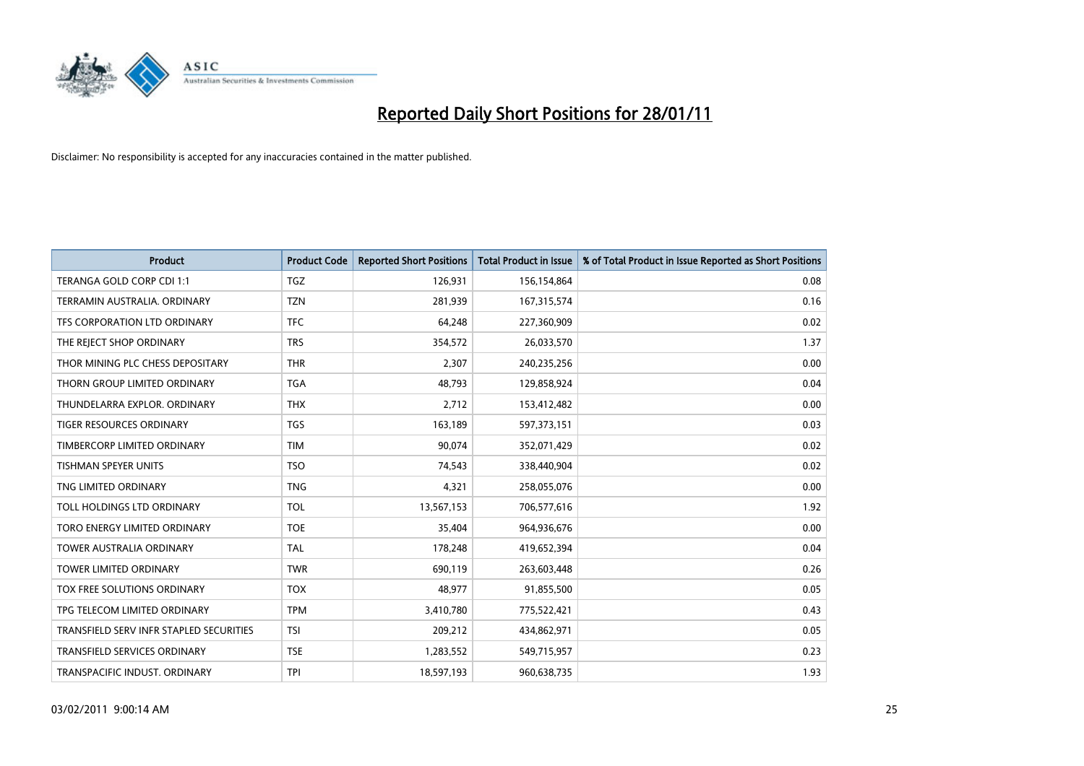

| <b>Product</b>                          | <b>Product Code</b> | <b>Reported Short Positions</b> | Total Product in Issue | % of Total Product in Issue Reported as Short Positions |
|-----------------------------------------|---------------------|---------------------------------|------------------------|---------------------------------------------------------|
| TERANGA GOLD CORP CDI 1:1               | TGZ                 | 126,931                         | 156,154,864            | 0.08                                                    |
| TERRAMIN AUSTRALIA, ORDINARY            | <b>TZN</b>          | 281,939                         | 167,315,574            | 0.16                                                    |
| TFS CORPORATION LTD ORDINARY            | <b>TFC</b>          | 64,248                          | 227,360,909            | 0.02                                                    |
| THE REJECT SHOP ORDINARY                | <b>TRS</b>          | 354,572                         | 26,033,570             | 1.37                                                    |
| THOR MINING PLC CHESS DEPOSITARY        | <b>THR</b>          | 2,307                           | 240,235,256            | 0.00                                                    |
| THORN GROUP LIMITED ORDINARY            | <b>TGA</b>          | 48,793                          | 129,858,924            | 0.04                                                    |
| THUNDELARRA EXPLOR, ORDINARY            | <b>THX</b>          | 2,712                           | 153,412,482            | 0.00                                                    |
| <b>TIGER RESOURCES ORDINARY</b>         | <b>TGS</b>          | 163,189                         | 597, 373, 151          | 0.03                                                    |
| TIMBERCORP LIMITED ORDINARY             | <b>TIM</b>          | 90,074                          | 352,071,429            | 0.02                                                    |
| <b>TISHMAN SPEYER UNITS</b>             | <b>TSO</b>          | 74,543                          | 338,440,904            | 0.02                                                    |
| TNG LIMITED ORDINARY                    | <b>TNG</b>          | 4,321                           | 258,055,076            | 0.00                                                    |
| TOLL HOLDINGS LTD ORDINARY              | <b>TOL</b>          | 13,567,153                      | 706,577,616            | 1.92                                                    |
| TORO ENERGY LIMITED ORDINARY            | <b>TOE</b>          | 35,404                          | 964,936,676            | 0.00                                                    |
| <b>TOWER AUSTRALIA ORDINARY</b>         | <b>TAL</b>          | 178,248                         | 419,652,394            | 0.04                                                    |
| TOWER LIMITED ORDINARY                  | <b>TWR</b>          | 690,119                         | 263,603,448            | 0.26                                                    |
| TOX FREE SOLUTIONS ORDINARY             | <b>TOX</b>          | 48,977                          | 91,855,500             | 0.05                                                    |
| TPG TELECOM LIMITED ORDINARY            | <b>TPM</b>          | 3,410,780                       | 775,522,421            | 0.43                                                    |
| TRANSFIELD SERV INFR STAPLED SECURITIES | <b>TSI</b>          | 209,212                         | 434,862,971            | 0.05                                                    |
| <b>TRANSFIELD SERVICES ORDINARY</b>     | <b>TSE</b>          | 1,283,552                       | 549,715,957            | 0.23                                                    |
| TRANSPACIFIC INDUST, ORDINARY           | <b>TPI</b>          | 18,597,193                      | 960,638,735            | 1.93                                                    |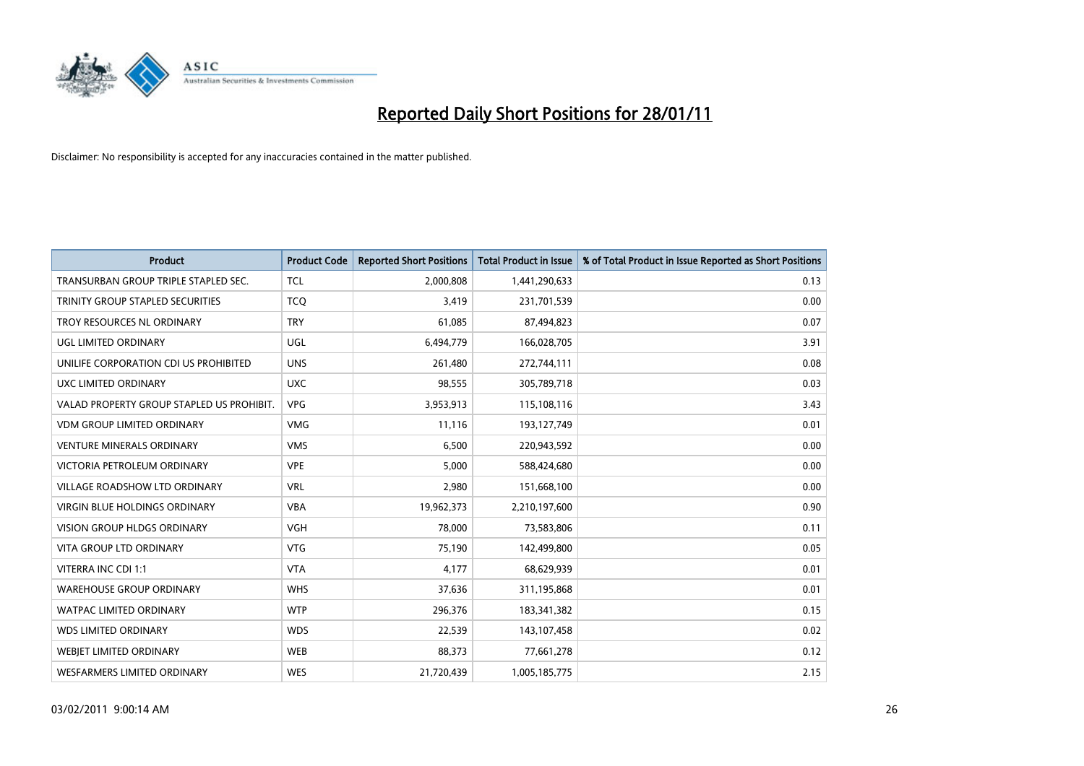

| <b>Product</b>                            | <b>Product Code</b> | <b>Reported Short Positions</b> | Total Product in Issue | % of Total Product in Issue Reported as Short Positions |
|-------------------------------------------|---------------------|---------------------------------|------------------------|---------------------------------------------------------|
| TRANSURBAN GROUP TRIPLE STAPLED SEC.      | <b>TCL</b>          | 2,000,808                       | 1,441,290,633          | 0.13                                                    |
| TRINITY GROUP STAPLED SECURITIES          | <b>TCQ</b>          | 3,419                           | 231,701,539            | 0.00                                                    |
| TROY RESOURCES NL ORDINARY                | <b>TRY</b>          | 61,085                          | 87,494,823             | 0.07                                                    |
| UGL LIMITED ORDINARY                      | <b>UGL</b>          | 6,494,779                       | 166,028,705            | 3.91                                                    |
| UNILIFE CORPORATION CDI US PROHIBITED     | <b>UNS</b>          | 261,480                         | 272,744,111            | 0.08                                                    |
| UXC LIMITED ORDINARY                      | <b>UXC</b>          | 98,555                          | 305,789,718            | 0.03                                                    |
| VALAD PROPERTY GROUP STAPLED US PROHIBIT. | <b>VPG</b>          | 3,953,913                       | 115,108,116            | 3.43                                                    |
| <b>VDM GROUP LIMITED ORDINARY</b>         | <b>VMG</b>          | 11,116                          | 193,127,749            | 0.01                                                    |
| <b>VENTURE MINERALS ORDINARY</b>          | <b>VMS</b>          | 6,500                           | 220,943,592            | 0.00                                                    |
| VICTORIA PETROLEUM ORDINARY               | <b>VPE</b>          | 5,000                           | 588,424,680            | 0.00                                                    |
| <b>VILLAGE ROADSHOW LTD ORDINARY</b>      | <b>VRL</b>          | 2,980                           | 151,668,100            | 0.00                                                    |
| <b>VIRGIN BLUE HOLDINGS ORDINARY</b>      | <b>VBA</b>          | 19,962,373                      | 2,210,197,600          | 0.90                                                    |
| <b>VISION GROUP HLDGS ORDINARY</b>        | <b>VGH</b>          | 78.000                          | 73,583,806             | 0.11                                                    |
| <b>VITA GROUP LTD ORDINARY</b>            | <b>VTG</b>          | 75,190                          | 142,499,800            | 0.05                                                    |
| VITERRA INC CDI 1:1                       | <b>VTA</b>          | 4,177                           | 68,629,939             | 0.01                                                    |
| <b>WAREHOUSE GROUP ORDINARY</b>           | <b>WHS</b>          | 37,636                          | 311,195,868            | 0.01                                                    |
| <b>WATPAC LIMITED ORDINARY</b>            | <b>WTP</b>          | 296,376                         | 183,341,382            | 0.15                                                    |
| <b>WDS LIMITED ORDINARY</b>               | <b>WDS</b>          | 22,539                          | 143,107,458            | 0.02                                                    |
| <b>WEBIET LIMITED ORDINARY</b>            | <b>WEB</b>          | 88,373                          | 77,661,278             | 0.12                                                    |
| <b>WESFARMERS LIMITED ORDINARY</b>        | <b>WES</b>          | 21,720,439                      | 1,005,185,775          | 2.15                                                    |